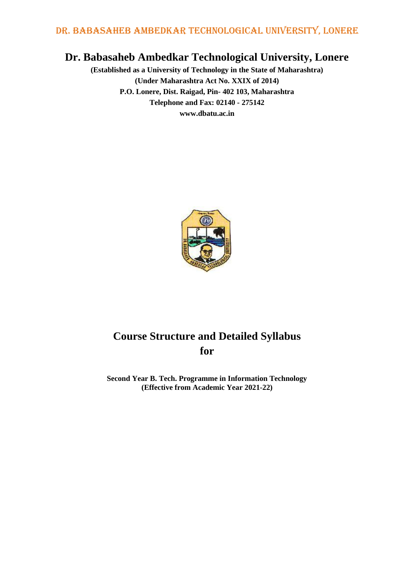# **Dr. Babasaheb Ambedkar Technological University, Lonere**

**(Established as a University of Technology in the State of Maharashtra) (Under Maharashtra Act No. XXIX of 2014) P.O. Lonere, Dist. Raigad, Pin- 402 103, Maharashtra Telephone and Fax: 02140 - 275142 www.dbatu.ac.in**



# **Course Structure and Detailed Syllabus for**

**Second Year B. Tech. Programme in Information Technology (Effective from Academic Year 2021-22)**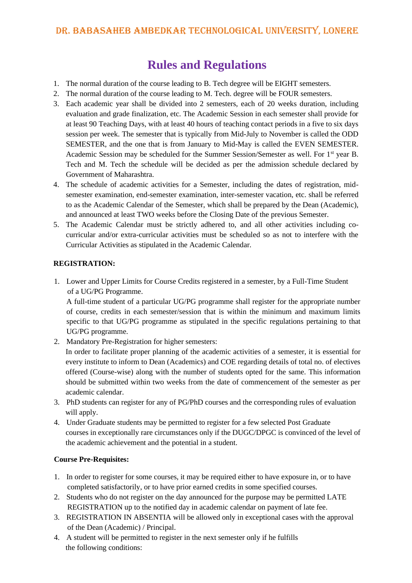# **Rules and Regulations**

- 1. The normal duration of the course leading to B. Tech degree will be EIGHT semesters.
- 2. The normal duration of the course leading to M. Tech. degree will be FOUR semesters.
- 3. Each academic year shall be divided into 2 semesters, each of 20 weeks duration, including evaluation and grade finalization, etc. The Academic Session in each semester shall provide for at least 90 Teaching Days, with at least 40 hours of teaching contact periods in a five to six days session per week. The semester that is typically from Mid-July to November is called the ODD SEMESTER, and the one that is from January to Mid-May is called the EVEN SEMESTER. Academic Session may be scheduled for the Summer Session/Semester as well. For 1<sup>st</sup> year B. Tech and M. Tech the schedule will be decided as per the admission schedule declared by Government of Maharashtra.
- 4. The schedule of academic activities for a Semester, including the dates of registration, midsemester examination, end-semester examination, inter-semester vacation, etc. shall be referred to as the Academic Calendar of the Semester, which shall be prepared by the Dean (Academic), and announced at least TWO weeks before the Closing Date of the previous Semester.
- 5. The Academic Calendar must be strictly adhered to, and all other activities including cocurricular and/or extra-curricular activities must be scheduled so as not to interfere with the Curricular Activities as stipulated in the Academic Calendar.

### **REGISTRATION:**

1. Lower and Upper Limits for Course Credits registered in a semester, by a Full-Time Student of a UG/PG Programme.

A full-time student of a particular UG/PG programme shall register for the appropriate number of course, credits in each semester/session that is within the minimum and maximum limits specific to that UG/PG programme as stipulated in the specific regulations pertaining to that UG/PG programme.

2. Mandatory Pre-Registration for higher semesters:

In order to facilitate proper planning of the academic activities of a semester, it is essential for every institute to inform to Dean (Academics) and COE regarding details of total no. of electives offered (Course-wise) along with the number of students opted for the same. This information should be submitted within two weeks from the date of commencement of the semester as per academic calendar.

- 3. PhD students can register for any of PG/PhD courses and the corresponding rules of evaluation will apply.
- 4. Under Graduate students may be permitted to register for a few selected Post Graduate courses in exceptionally rare circumstances only if the DUGC/DPGC is convinced of the level of the academic achievement and the potential in a student.

## **Course Pre-Requisites:**

- 1. In order to register for some courses, it may be required either to have exposure in, or to have completed satisfactorily, or to have prior earned credits in some specified courses.
- 2. Students who do not register on the day announced for the purpose may be permitted LATE REGISTRATION up to the notified day in academic calendar on payment of late fee.
- 3. REGISTRATION IN ABSENTIA will be allowed only in exceptional cases with the approval of the Dean (Academic) / Principal.
- 4. A student will be permitted to register in the next semester only if he fulfills the following conditions: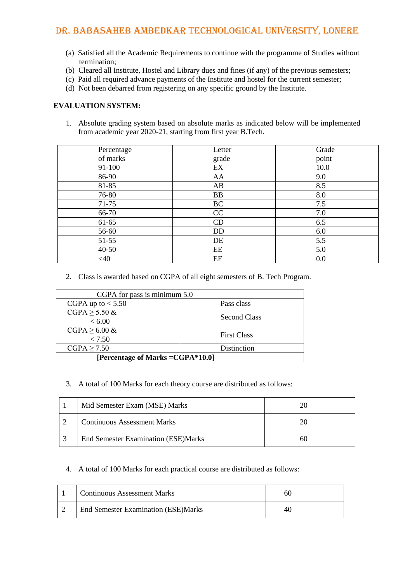- (a) Satisfied all the Academic Requirements to continue with the programme of Studies without termination;
- (b) Cleared all Institute, Hostel and Library dues and fines (if any) of the previous semesters;
- (c) Paid all required advance payments of the Institute and hostel for the current semester;
- (d) Not been debarred from registering on any specific ground by the Institute.

#### **EVALUATION SYSTEM:**

1. Absolute grading system based on absolute marks as indicated below will be implemented from academic year 2020-21, starting from first year B.Tech.

| Percentage | Letter    | Grade |
|------------|-----------|-------|
| of marks   | grade     | point |
| 91-100     | EX        | 10.0  |
| 86-90      | AA        | 9.0   |
| 81-85      | AB        | 8.5   |
| 76-80      | <b>BB</b> | 8.0   |
| $71 - 75$  | BC        | 7.5   |
| 66-70      | CC        | 7.0   |
| 61-65      | CD        | 6.5   |
| 56-60      | <b>DD</b> | 6.0   |
| $51 - 55$  | DE        | 5.5   |
| $40 - 50$  | EE        | 5.0   |
| $<$ 40     | EF        | 0.0   |

2. Class is awarded based on CGPA of all eight semesters of B. Tech Program.

| CGPA for pass is minimum 5.0      |                     |  |  |
|-----------------------------------|---------------------|--|--|
| CGPA up to $< 5.50$               | Pass class          |  |  |
| $CGPA \geq 5.50 \&$               | <b>Second Class</b> |  |  |
| < 6.00                            |                     |  |  |
| $CGPA \geq 6.00 \&$               | <b>First Class</b>  |  |  |
| < 7.50                            |                     |  |  |
| $CGPA \ge 7.50$                   | Distinction         |  |  |
| [Percentage of Marks = CGPA*10.0] |                     |  |  |

#### 3. A total of 100 Marks for each theory course are distributed as follows:

| Mid Semester Exam (MSE) Marks        |    |
|--------------------------------------|----|
| <b>Continuous Assessment Marks</b>   |    |
| End Semester Examination (ESE) Marks | 60 |

#### 4. A total of 100 Marks for each practical course are distributed as follows:

| <b>Continuous Assessment Marks</b>         |    |
|--------------------------------------------|----|
| <b>End Semester Examination (ESE)Marks</b> | 40 |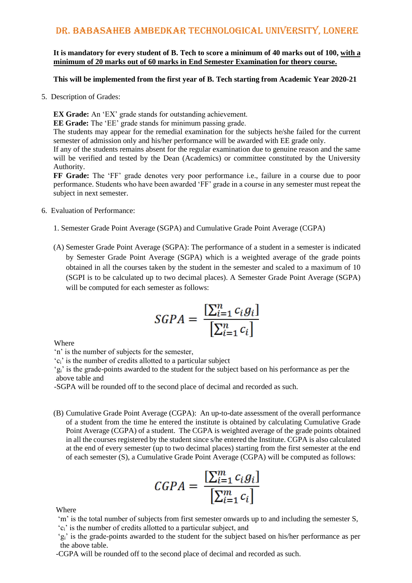**It is mandatory for every student of B. Tech to score a minimum of 40 marks out of 100, with a minimum of 20 marks out of 60 marks in End Semester Examination for theory course.**

#### **This will be implemented from the first year of B. Tech starting from Academic Year 2020-21**

5. Description of Grades:

**EX Grade:** An 'EX' grade stands for outstanding achievement.

**EE Grade:** The 'EE' grade stands for minimum passing grade.

The students may appear for the remedial examination for the subjects he/she failed for the current semester of admission only and his/her performance will be awarded with EE grade only.

If any of the students remains absent for the regular examination due to genuine reason and the same will be verified and tested by the Dean (Academics) or committee constituted by the University Authority.

**FF Grade:** The 'FF' grade denotes very poor performance i.e., failure in a course due to poor performance. Students who have been awarded 'FF' grade in a course in any semester must repeat the subject in next semester.

- 6. Evaluation of Performance:
	- 1. Semester Grade Point Average (SGPA) and Cumulative Grade Point Average (CGPA)
	- (A) Semester Grade Point Average (SGPA): The performance of a student in a semester is indicated by Semester Grade Point Average (SGPA) which is a weighted average of the grade points obtained in all the courses taken by the student in the semester and scaled to a maximum of 10 (SGPI is to be calculated up to two decimal places). A Semester Grade Point Average (SGPA) will be computed for each semester as follows:

$$
SGPA = \frac{\left[\sum_{i=1}^{n} c_i g_i\right]}{\left[\sum_{i=1}^{n} c_i\right]}
$$

Where

'n' is the number of subjects for the semester,

'ci' is the number of credits allotted to a particular subject

'gi' is the grade-points awarded to the student for the subject based on his performance as per the above table and

-SGPA will be rounded off to the second place of decimal and recorded as such.

(B) Cumulative Grade Point Average (CGPA): An up-to-date assessment of the overall performance of a student from the time he entered the institute is obtained by calculating Cumulative Grade Point Average (CGPA) of a student. The CGPA is weighted average of the grade points obtained in all the courses registered by the student since s/he entered the Institute. CGPA is also calculated at the end of every semester (up to two decimal places) starting from the first semester at the end of each semester (S), a Cumulative Grade Point Average (CGPA) will be computed as follows:

$$
CGPA = \frac{\left[\sum_{i=1}^{m} c_i g_i\right]}{\left[\sum_{i=1}^{m} c_i\right]}
$$

**Where** 

 'm' is the total number of subjects from first semester onwards up to and including the semester S, 'ci' is the number of credits allotted to a particular subject, and

 'gi' is the grade-points awarded to the student for the subject based on his/her performance as per the above table.

-CGPA will be rounded off to the second place of decimal and recorded as such.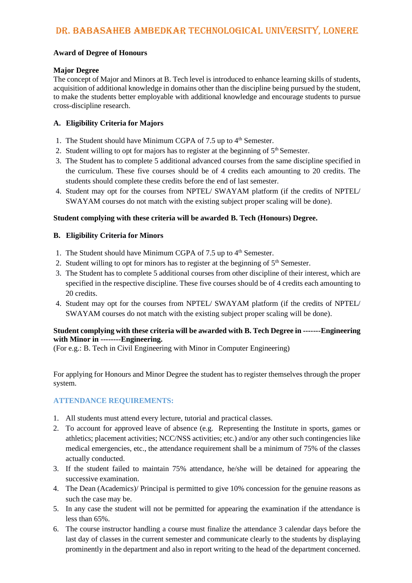#### **Award of Degree of Honours**

#### **Major Degree**

The concept of Major and Minors at B. Tech level is introduced to enhance learning skills of students, acquisition of additional knowledge in domains other than the discipline being pursued by the student, to make the students better employable with additional knowledge and encourage students to pursue cross-discipline research.

#### **A. Eligibility Criteria for Majors**

- 1. The Student should have Minimum CGPA of 7.5 up to  $4<sup>th</sup>$  Semester.
- 2. Student willing to opt for majors has to register at the beginning of  $5<sup>th</sup>$  Semester.
- 3. The Student has to complete 5 additional advanced courses from the same discipline specified in the curriculum. These five courses should be of 4 credits each amounting to 20 credits. The students should complete these credits before the end of last semester.
- 4. Student may opt for the courses from NPTEL/ SWAYAM platform (if the credits of NPTEL/ SWAYAM courses do not match with the existing subject proper scaling will be done).

#### **Student complying with these criteria will be awarded B. Tech (Honours) Degree.**

#### **B. Eligibility Criteria for Minors**

- 1. The Student should have Minimum CGPA of 7.5 up to  $4<sup>th</sup>$  Semester.
- 2. Student willing to opt for minors has to register at the beginning of  $5<sup>th</sup>$  Semester.
- 3. The Student has to complete 5 additional courses from other discipline of their interest, which are specified in the respective discipline. These five courses should be of 4 credits each amounting to 20 credits.
- 4. Student may opt for the courses from NPTEL/ SWAYAM platform (if the credits of NPTEL/ SWAYAM courses do not match with the existing subject proper scaling will be done).

#### **Student complying with these criteria will be awarded with B. Tech Degree in -------Engineering with Minor in --------Engineering.**

(For e.g.: B. Tech in Civil Engineering with Minor in Computer Engineering)

For applying for Honours and Minor Degree the student has to register themselves through the proper system.

#### **ATTENDANCE REQUIREMENTS:**

- 1. All students must attend every lecture, tutorial and practical classes.
- 2. To account for approved leave of absence (e.g. Representing the Institute in sports, games or athletics; placement activities; NCC/NSS activities; etc.) and/or any other such contingencies like medical emergencies, etc., the attendance requirement shall be a minimum of 75% of the classes actually conducted.
- 3. If the student failed to maintain 75% attendance, he/she will be detained for appearing the successive examination.
- 4. The Dean (Academics)/ Principal is permitted to give 10% concession for the genuine reasons as such the case may be.
- 5. In any case the student will not be permitted for appearing the examination if the attendance is less than 65%.
- 6. The course instructor handling a course must finalize the attendance 3 calendar days before the last day of classes in the current semester and communicate clearly to the students by displaying prominently in the department and also in report writing to the head of the department concerned.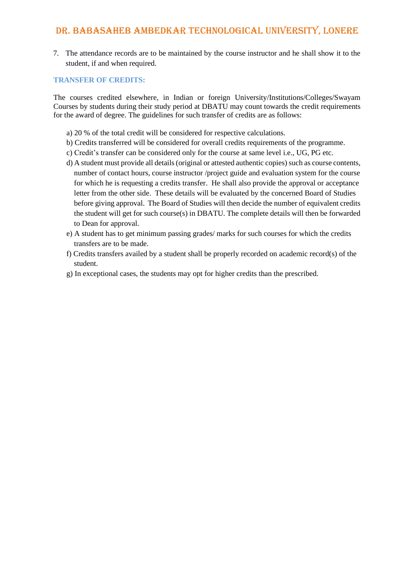7. The attendance records are to be maintained by the course instructor and he shall show it to the student, if and when required.

#### **TRANSFER OF CREDITS:**

The courses credited elsewhere, in Indian or foreign University/Institutions/Colleges/Swayam Courses by students during their study period at DBATU may count towards the credit requirements for the award of degree. The guidelines for such transfer of credits are as follows:

- a) 20 % of the total credit will be considered for respective calculations.
- b) Credits transferred will be considered for overall credits requirements of the programme.
- c) Credit's transfer can be considered only for the course at same level i.e., UG, PG etc.
- d) A student must provide all details (original or attested authentic copies) such as course contents, number of contact hours, course instructor /project guide and evaluation system for the course for which he is requesting a credits transfer. He shall also provide the approval or acceptance letter from the other side. These details will be evaluated by the concerned Board of Studies before giving approval. The Board of Studies will then decide the number of equivalent credits the student will get for such course(s) in DBATU. The complete details will then be forwarded to Dean for approval.
- e) A student has to get minimum passing grades/ marks for such courses for which the credits transfers are to be made.
- f) Credits transfers availed by a student shall be properly recorded on academic record(s) of the student.
- g) In exceptional cases, the students may opt for higher credits than the prescribed.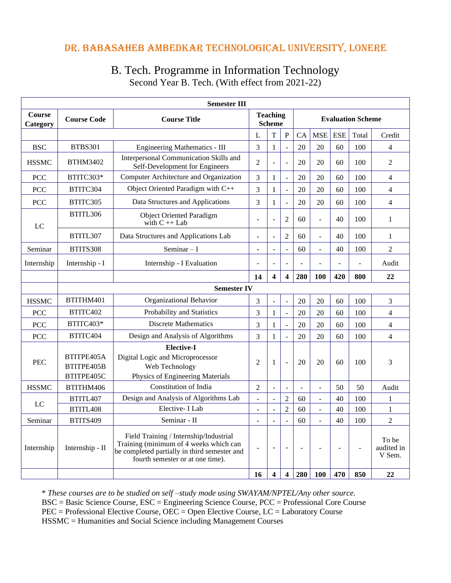# B. Tech. Programme in Information Technology Second Year B. Tech. (With effect from 2021-22)

| <b>Semester III</b>       |                                        |                                                                                                                                                                      |                |                                  |                         |                          |                          |                          |                |                               |
|---------------------------|----------------------------------------|----------------------------------------------------------------------------------------------------------------------------------------------------------------------|----------------|----------------------------------|-------------------------|--------------------------|--------------------------|--------------------------|----------------|-------------------------------|
| <b>Course</b><br>Category | <b>Course Code</b>                     | <b>Course Title</b>                                                                                                                                                  |                | <b>Teaching</b><br><b>Scheme</b> |                         | <b>Evaluation Scheme</b> |                          |                          |                |                               |
|                           |                                        |                                                                                                                                                                      | L              | T                                | ${\bf P}$               | CA                       | <b>MSE</b>               | <b>ESE</b>               | Total          | Credit                        |
| <b>BSC</b>                | <b>BTBS301</b>                         | <b>Engineering Mathematics - III</b>                                                                                                                                 | 3              | $\mathbf{1}$                     | $\overline{a}$          | 20                       | 20                       | 60                       | 100            | $\overline{\mathcal{L}}$      |
| <b>HSSMC</b>              | <b>BTHM3402</b>                        | Interpersonal Communication Skills and<br>Self-Development for Engineers                                                                                             | $\overline{2}$ |                                  | $\overline{a}$          | 20                       | 20                       | 60                       | 100            | $\overline{2}$                |
| <b>PCC</b>                | BTITC303*                              | Computer Architecture and Organization                                                                                                                               | 3              | $\mathbf{1}$                     | $\frac{1}{2}$           | 20                       | 20                       | 60                       | 100            | $\overline{4}$                |
| <b>PCC</b>                | BTITC304                               | Object Oriented Paradigm with C++                                                                                                                                    | 3              | $\mathbf{1}$                     | $\overline{a}$          | 20                       | 20                       | 60                       | 100            | $\overline{4}$                |
| <b>PCC</b>                | BTITC305                               | Data Structures and Applications                                                                                                                                     | 3              | $\mathbf{1}$                     | $\overline{a}$          | 20                       | 20                       | 60                       | 100            | $\overline{4}$                |
| LC                        | BTITL306                               | <b>Object Oriented Paradigm</b><br>with $C + $ Lab                                                                                                                   | $\overline{a}$ | $\overline{a}$                   | $\mathfrak{2}$          | 60                       | $\overline{a}$           | 40                       | 100            | $\mathbf{1}$                  |
|                           | BTITL307                               | Data Structures and Applications Lab                                                                                                                                 | L,             |                                  | $\mathfrak{2}$          | 60                       | ÷.                       | 40                       | 100            | $\mathbf{1}$                  |
| Seminar                   | BTITS308                               | Seminar $-I$                                                                                                                                                         | $\overline{a}$ | $\overline{a}$                   | $\overline{a}$          | 60                       | $\overline{a}$           | 40                       | 100            | $\overline{2}$                |
| Internship                | Internship - I                         | Internship - I Evaluation                                                                                                                                            | $\overline{a}$ | ÷,                               | $\overline{a}$          | $\overline{a}$           |                          | $\overline{a}$           | $\overline{a}$ | Audit                         |
|                           |                                        |                                                                                                                                                                      | 14             | 4                                | $\overline{\mathbf{4}}$ | 280                      | 100                      | 420                      | 800            | 22                            |
|                           |                                        | <b>Semester IV</b>                                                                                                                                                   |                |                                  |                         |                          |                          |                          |                |                               |
| <b>HSSMC</b>              | BTITHM401                              | Organizational Behavior                                                                                                                                              | 3              | $\blacksquare$                   | $\blacksquare$          | 20                       | 20                       | 60                       | 100            | 3                             |
| <b>PCC</b>                | BTITC402                               | Probability and Statistics                                                                                                                                           | $\overline{3}$ | $\mathbf{1}$                     | $\overline{a}$          | 20                       | 20                       | 60                       | 100            | $\overline{4}$                |
| <b>PCC</b>                | BTITC403*                              | <b>Discrete Mathematics</b>                                                                                                                                          | 3              | $\mathbf{1}$                     | $\overline{a}$          | 20                       | 20                       | 60                       | 100            | $\overline{4}$                |
| <b>PCC</b>                | BTITC404                               | Design and Analysis of Algorithms                                                                                                                                    | 3              | $\mathbf{1}$                     |                         | 20                       | 20                       | 60                       | 100            | $\overline{4}$                |
| <b>PEC</b>                | BTITPE405A<br>BTITPE405B<br>BTITPE405C | <b>Elective-I</b><br>Digital Logic and Microprocessor<br>Web Technology<br>Physics of Engineering Materials                                                          | $\overline{2}$ | 1                                | $\overline{a}$          | 20                       | 20                       | 60                       | 100            | 3                             |
| <b>HSSMC</b>              | BTITHM406                              | Constitution of India                                                                                                                                                | $\overline{2}$ | $\overline{a}$                   |                         |                          | $\overline{a}$           | 50                       | 50             | Audit                         |
| LC                        | BTITL407                               | Design and Analysis of Algorithms Lab                                                                                                                                | $\overline{a}$ | $\overline{a}$                   | $\overline{2}$          | 60                       | $\bar{\mathcal{L}}$      | 40                       | 100            | $\mathbf{1}$                  |
|                           | BTITL408                               | Elective- I Lab                                                                                                                                                      | $\overline{a}$ | $\overline{a}$                   | $\overline{2}$          | 60                       | $\overline{\phantom{a}}$ | 40                       | 100            | $\mathbf{1}$                  |
| Seminar                   | BTITS409                               | Seminar - II                                                                                                                                                         | $\overline{a}$ |                                  |                         | 60                       | ÷,                       | 40                       | 100            | $\overline{c}$                |
| Internship                | Internship - II                        | Field Training / Internship/Industrial<br>Training (minimum of 4 weeks which can<br>be completed partially in third semester and<br>fourth semester or at one time). | $\overline{a}$ | ٠                                | $\blacksquare$          | $\overline{a}$           | ÷                        | $\overline{\phantom{a}}$ | $\overline{a}$ | To be<br>audited in<br>V Sem. |
|                           |                                        |                                                                                                                                                                      | 16             | $\overline{\mathbf{4}}$          | $\overline{\mathbf{4}}$ | 280                      | 100                      | 470                      | 850            | 22                            |

\* *These courses are to be studied on self –study mode using SWAYAM/NPTEL/Any other source.* BSC = Basic Science Course, ESC = Engineering Science Course, PCC = Professional Core Course PEC = Professional Elective Course, OEC = Open Elective Course, LC = Laboratory Course HSSMC = Humanities and Social Science including Management Courses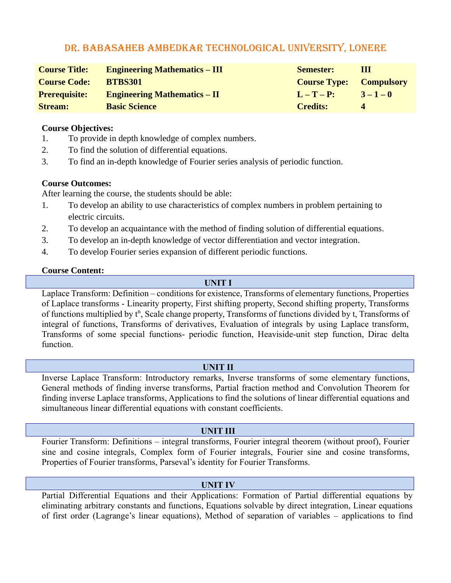| <b>Course Title:</b> | <b>Engineering Mathematics – III</b> | <b>Semester:</b>               | Ш           |
|----------------------|--------------------------------------|--------------------------------|-------------|
| <b>Course Code:</b>  | <b>BTBS301</b>                       | <b>Course Type:</b> Compulsory |             |
| <b>Prerequisite:</b> | <b>Engineering Mathematics – II</b>  | $L-T-P$ :                      | $3 - 1 - 0$ |
| <b>Stream:</b>       | <b>Basic Science</b>                 | <b>Credits:</b>                | $\Delta$    |

#### **Course Objectives:**

- 1. To provide in depth knowledge of complex numbers.
- 2. To find the solution of differential equations.
- 3. To find an in-depth knowledge of Fourier series analysis of periodic function.

#### **Course Outcomes:**

After learning the course, the students should be able:

- 1. To develop an ability to use characteristics of complex numbers in problem pertaining to electric circuits.
- 2. To develop an acquaintance with the method of finding solution of differential equations.
- 3. To develop an in-depth knowledge of vector differentiation and vector integration.
- 4. To develop Fourier series expansion of different periodic functions.

#### **Course Content:**

#### **UNIT I**

Laplace Transform: Definition – conditions for existence, Transforms of elementary functions, Properties of Laplace transforms - Linearity property, First shifting property, Second shifting property, Transforms of functions multiplied by t<sup>n</sup>, Scale change property, Transforms of functions divided by t, Transforms of integral of functions, Transforms of derivatives, Evaluation of integrals by using Laplace transform, Transforms of some special functions- periodic function, Heaviside-unit step function, Dirac delta function.

#### **UNIT II**

Inverse Laplace Transform: Introductory remarks, Inverse transforms of some elementary functions, General methods of finding inverse transforms, Partial fraction method and Convolution Theorem for finding inverse Laplace transforms, Applications to find the solutions of linear differential equations and simultaneous linear differential equations with constant coefficients.

#### **UNIT III**

Fourier Transform: Definitions – integral transforms, Fourier integral theorem (without proof), Fourier sine and cosine integrals, Complex form of Fourier integrals, Fourier sine and cosine transforms, Properties of Fourier transforms, Parseval's identity for Fourier Transforms.

#### **UNIT IV**

Partial Differential Equations and their Applications: Formation of Partial differential equations by eliminating arbitrary constants and functions, Equations solvable by direct integration, Linear equations of first order (Lagrange's linear equations), Method of separation of variables – applications to find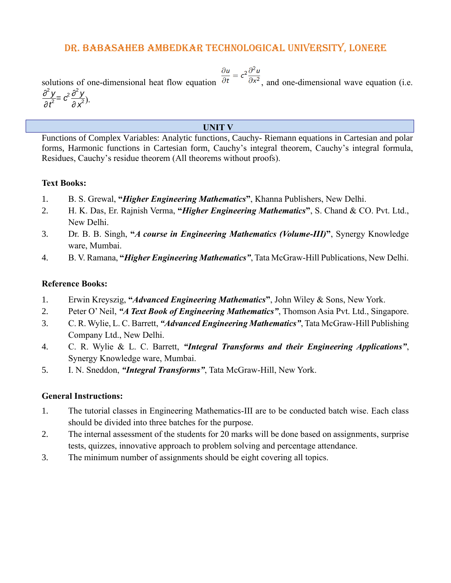$$
\frac{\partial u}{\partial t} = c^2 \frac{\partial^2 u}{\partial x^2}
$$

solutions of one-dimensional heat flow equation  $\partial t$   $\partial x^2$ , and one-dimensional wave equation (i.e.

). *∂* 2 *y* ∂<sup>2</sup>y = c<sup>2</sup> ∂ <mark>∕′</mark><br>∂ t<sup>2</sup> *∂ x* 2

### **UNIT V**

Functions of Complex Variables: Analytic functions, Cauchy- Riemann equations in Cartesian and polar forms, Harmonic functions in Cartesian form, Cauchy's integral theorem, Cauchy's integral formula, Residues, Cauchy's residue theorem (All theorems without proofs).

### **Text Books:**

- 1. B. S. Grewal, **"***Higher Engineering Mathematics***"**, Khanna Publishers, New Delhi.
- 2. H. K. Das, Er. Rajnish Verma, **"***Higher Engineering Mathematics***"**, S. Chand & CO. Pvt. Ltd., New Delhi.
- 3. Dr. B. B. Singh, **"***A course in Engineering Mathematics (Volume-III)***"**, Synergy Knowledge ware, Mumbai.
- 4. B. V. Ramana, **"***Higher Engineering Mathematics"*, Tata McGraw-Hill Publications, New Delhi.

### **Reference Books:**

- 1. Erwin Kreyszig, **"***Advanced Engineering Mathematics***"**, John Wiley & Sons, New York.
- 2. Peter O' Neil, *"A Text Book of Engineering Mathematics"*, Thomson Asia Pvt. Ltd., Singapore.
- 3. C. R. Wylie, L. C. Barrett, *"Advanced Engineering Mathematics"*, Tata McGraw-Hill Publishing Company Ltd., New Delhi.
- 4. C. R. Wylie & L. C. Barrett, *"Integral Transforms and their Engineering Applications"*, Synergy Knowledge ware, Mumbai.
- 5. I. N. Sneddon, *"Integral Transforms"*, Tata McGraw-Hill, New York.

#### **General Instructions:**

- 1. The tutorial classes in Engineering Mathematics-III are to be conducted batch wise. Each class should be divided into three batches for the purpose.
- 2. The internal assessment of the students for 20 marks will be done based on assignments, surprise tests, quizzes, innovative approach to problem solving and percentage attendance.
- 3. The minimum number of assignments should be eight covering all topics.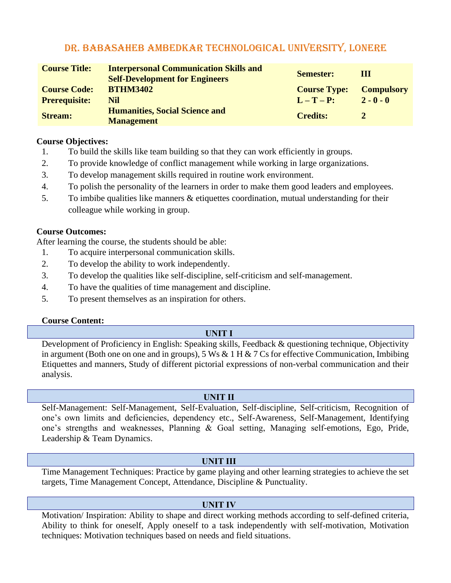| <b>Course Title:</b> | <b>Interpersonal Communication Skills and</b><br><b>Self-Development for Engineers</b> | <b>Semester:</b>    | Ш                 |
|----------------------|----------------------------------------------------------------------------------------|---------------------|-------------------|
| <b>Course Code:</b>  | <b>BTHM3402</b>                                                                        | <b>Course Type:</b> | <b>Compulsory</b> |
| <b>Prerequisite:</b> | <b>Nil</b>                                                                             | $L-T-P$ :           | $2 - 0 - 0$       |
| <b>Stream:</b>       | <b>Humanities, Social Science and</b><br><b>Management</b>                             | <b>Credits:</b>     | 2                 |

#### **Course Objectives:**

- 1. To build the skills like team building so that they can work efficiently in groups.
- 2. To provide knowledge of conflict management while working in large organizations.
- 3. To develop management skills required in routine work environment.
- 4. To polish the personality of the learners in order to make them good leaders and employees.
- 5. To imbibe qualities like manners & etiquettes coordination, mutual understanding for their colleague while working in group.

### **Course Outcomes:**

After learning the course, the students should be able:

- 1. To acquire interpersonal communication skills.
- 2. To develop the ability to work independently.
- 3. To develop the qualities like self-discipline, self-criticism and self-management.
- 4. To have the qualities of time management and discipline.
- 5. To present themselves as an inspiration for others.

#### **Course Content:**

## **UNIT I**

Development of Proficiency in English: Speaking skills, Feedback & questioning technique, Objectivity in argument (Both one on one and in groups), 5 Ws & 1 H & 7 Cs for effective Communication, Imbibing Etiquettes and manners, Study of different pictorial expressions of non-verbal communication and their analysis.

#### **UNIT II**

Self-Management: Self-Management, Self-Evaluation, Self-discipline, Self-criticism, Recognition of one's own limits and deficiencies, dependency etc., Self-Awareness, Self-Management, Identifying one's strengths and weaknesses, Planning & Goal setting, Managing self-emotions, Ego, Pride, Leadership & Team Dynamics.

## **UNIT III**

Time Management Techniques: Practice by game playing and other learning strategies to achieve the set targets, Time Management Concept, Attendance, Discipline & Punctuality.

## **UNIT IV**

Motivation/ Inspiration: Ability to shape and direct working methods according to self-defined criteria, Ability to think for oneself, Apply oneself to a task independently with self-motivation, Motivation techniques: Motivation techniques based on needs and field situations.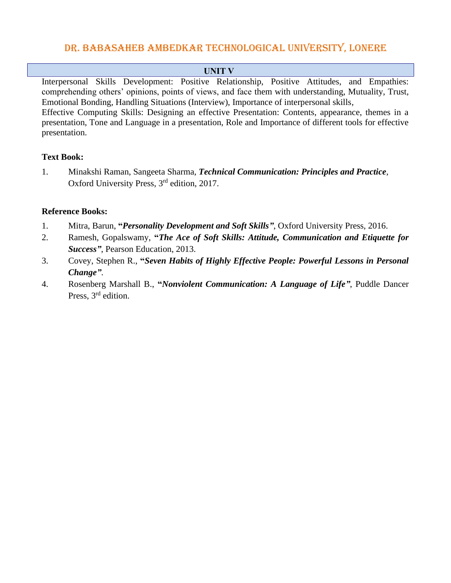#### **UNIT V**

Interpersonal Skills Development: Positive Relationship, Positive Attitudes, and Empathies: comprehending others' opinions, points of views, and face them with understanding, Mutuality, Trust, Emotional Bonding, Handling Situations (Interview), Importance of interpersonal skills, Effective Computing Skills: Designing an effective Presentation: Contents, appearance, themes in a presentation, Tone and Language in a presentation, Role and Importance of different tools for effective presentation.

## **Text Book:**

1. Minakshi Raman, Sangeeta Sharma, *Technical Communication: Principles and Practice*, Oxford University Press, 3rd edition, 2017.

- 1. Mitra, Barun, **"***Personality Development and Soft Skills"*, Oxford University Press, 2016.
- 2. Ramesh, Gopalswamy, **"***The Ace of Soft Skills: Attitude, Communication and Etiquette for Success"*, Pearson Education, 2013.
- 3. Covey, Stephen R., **"***Seven Habits of Highly Effective People: Powerful Lessons in Personal Change"*.
- 4. Rosenberg Marshall B., **"***Nonviolent Communication: A Language of Life"*, Puddle Dancer Press, 3<sup>rd</sup> edition.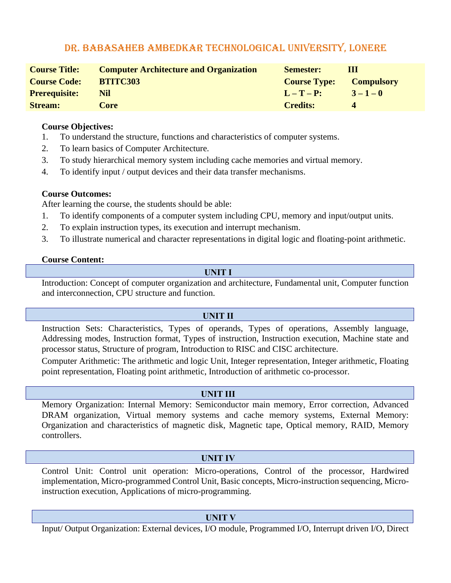| <b>Course Title:</b> | <b>Computer Architecture and Organization</b> | <b>Semester:</b>    | Ш                 |
|----------------------|-----------------------------------------------|---------------------|-------------------|
| <b>Course Code:</b>  | <b>BTITC303</b>                               | <b>Course Type:</b> | <b>Compulsory</b> |
| <b>Prerequisite:</b> | Nil                                           | $L-T-P$ :           | $3 - 1 - 0$       |
| <b>Stream:</b>       | Core                                          | <b>Credits:</b>     |                   |

#### **Course Objectives:**

- 1. To understand the structure, functions and characteristics of computer systems.
- 2. To learn basics of Computer Architecture.
- 3. To study hierarchical memory system including cache memories and virtual memory.
- 4. To identify input / output devices and their data transfer mechanisms.

### **Course Outcomes:**

After learning the course, the students should be able:

- 1. To identify components of a computer system including CPU, memory and input/output units.
- 2. To explain instruction types, its execution and interrupt mechanism.
- 3. To illustrate numerical and character representations in digital logic and floating-point arithmetic.

### **Course Content:**

## **UNIT I**

Introduction: Concept of computer organization and architecture, Fundamental unit, Computer function and interconnection, CPU structure and function.

## **UNIT II**

Instruction Sets: Characteristics, Types of operands, Types of operations, Assembly language, Addressing modes, Instruction format, Types of instruction, Instruction execution, Machine state and processor status, Structure of program, Introduction to RISC and CISC architecture.

Computer Arithmetic: The arithmetic and logic Unit, Integer representation, Integer arithmetic, Floating point representation, Floating point arithmetic, Introduction of arithmetic co-processor.

#### **UNIT III**

Memory Organization: Internal Memory: Semiconductor main memory, Error correction, Advanced DRAM organization, Virtual memory systems and cache memory systems, External Memory: Organization and characteristics of magnetic disk, Magnetic tape, Optical memory, RAID, Memory controllers.

## **UNIT IV**

Control Unit: Control unit operation: Micro-operations, Control of the processor, Hardwired implementation, Micro-programmed Control Unit, Basic concepts, Micro-instruction sequencing, Microinstruction execution, Applications of micro-programming.

#### **UNIT V**

Input/ Output Organization: External devices, I/O module, Programmed I/O, Interrupt driven I/O, Direct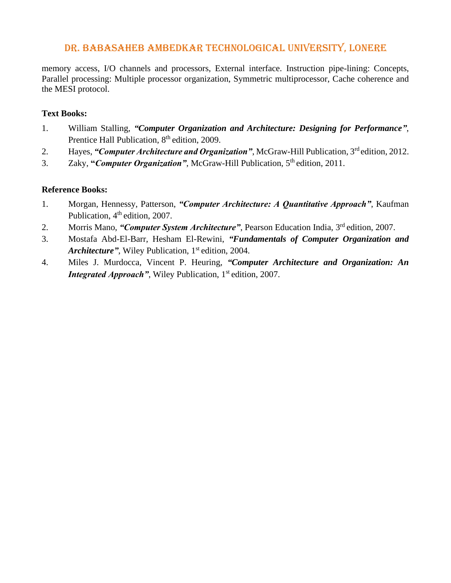memory access, I/O channels and processors, External interface. Instruction pipe-lining: Concepts, Parallel processing: Multiple processor organization, Symmetric multiprocessor, Cache coherence and the MESI protocol.

### **Text Books:**

- 1. William Stalling, *"Computer Organization and Architecture: Designing for Performance"*, Prentice Hall Publication, 8<sup>th</sup> edition, 2009.
- 2. Hayes, "Computer Architecture and Organization", McGraw-Hill Publication, 3<sup>rd</sup> edition, 2012.
- 3. Zaky, "*Computer Organization*", McGraw-Hill Publication, 5<sup>th</sup> edition, 2011.

- 1. Morgan, Hennessy, Patterson, *"Computer Architecture: A Quantitative Approach"*, Kaufman Publication, 4<sup>th</sup> edition, 2007.
- 2. Morris Mano, "*Computer System Architecture*", Pearson Education India, 3<sup>rd</sup> edition, 2007.
- 3. Mostafa Abd-El-Barr, Hesham El-Rewini, *"Fundamentals of Computer Organization and*  Architecture", Wiley Publication, 1<sup>st</sup> edition, 2004.
- 4. Miles J. Murdocca, Vincent P. Heuring, *"Computer Architecture and Organization: An*  **Integrated Approach"**, Wiley Publication, 1<sup>st</sup> edition, 2007.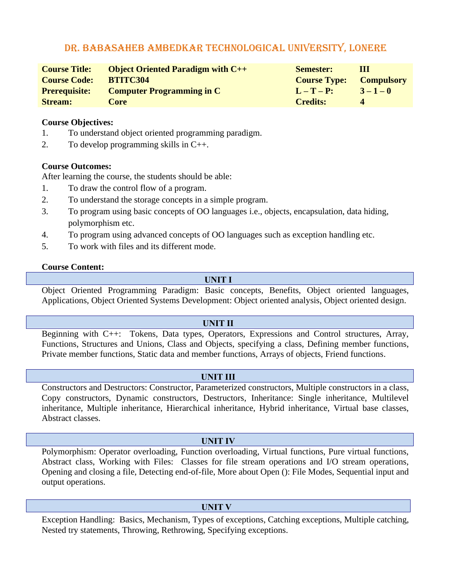| <b>Course Title:</b> | <b>Object Oriented Paradigm with <math>C++</math></b> | <b>Semester:</b>               | Ш           |
|----------------------|-------------------------------------------------------|--------------------------------|-------------|
| <b>Course Code:</b>  | BTITC304                                              | <b>Course Type:</b> Compulsory |             |
| <b>Prerequisite:</b> | <b>Computer Programming in C</b>                      | $L-T-P$ :                      | $3 - 1 - 0$ |
| <b>Stream:</b>       | Core                                                  | <b>Credits:</b>                | $\Lambda$   |

#### **Course Objectives:**

- 1. To understand object oriented programming paradigm.
- 2. To develop programming skills in C++.

#### **Course Outcomes:**

After learning the course, the students should be able:

- 1. To draw the control flow of a program.
- 2. To understand the storage concepts in a simple program.
- 3. To program using basic concepts of OO languages i.e., objects, encapsulation, data hiding, polymorphism etc.
- 4. To program using advanced concepts of OO languages such as exception handling etc.
- 5. To work with files and its different mode.

#### **Course Content:**

#### **UNIT I**

Object Oriented Programming Paradigm: Basic concepts, Benefits, Object oriented languages, Applications, Object Oriented Systems Development: Object oriented analysis, Object oriented design.

#### **UNIT II**

Beginning with C++: Tokens, Data types, Operators, Expressions and Control structures, Array, Functions, Structures and Unions, Class and Objects, specifying a class, Defining member functions, Private member functions, Static data and member functions, Arrays of objects, Friend functions.

#### **UNIT III**

Constructors and Destructors: Constructor, Parameterized constructors, Multiple constructors in a class, Copy constructors, Dynamic constructors, Destructors, Inheritance: Single inheritance, Multilevel inheritance, Multiple inheritance, Hierarchical inheritance, Hybrid inheritance, Virtual base classes, Abstract classes.

#### **UNIT IV**

Polymorphism: Operator overloading, Function overloading, Virtual functions, Pure virtual functions, Abstract class, Working with Files: Classes for file stream operations and I/O stream operations, Opening and closing a file, Detecting end-of-file, More about Open (): File Modes, Sequential input and output operations.

#### **UNIT V**

Exception Handling: Basics, Mechanism, Types of exceptions, Catching exceptions, Multiple catching, Nested try statements, Throwing, Rethrowing, Specifying exceptions.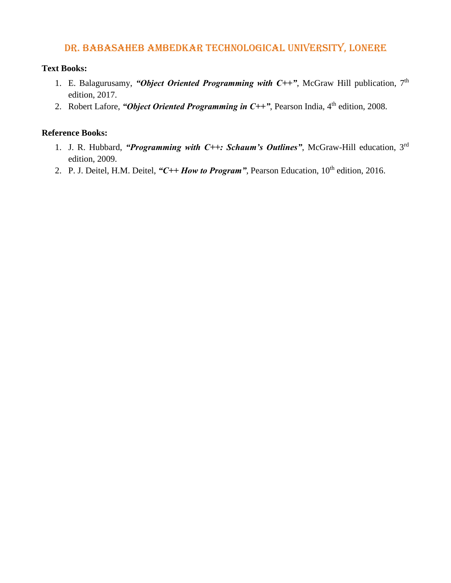### **Text Books:**

- 1. E. Balagurusamy, "Object Oriented Programming with  $C++$ ", McGraw Hill publication, 7<sup>th</sup> edition, 2017.
- 2. Robert Lafore, "*Object Oriented Programming in C*++", Pearson India, 4<sup>th</sup> edition, 2008.

- 1. J. R. Hubbard, "Programming with C++: Schaum's Outlines", McGraw-Hill education, 3<sup>rd</sup> edition, 2009.
- 2. P. J. Deitel, H.M. Deitel, "C++ How to Program", Pearson Education, 10<sup>th</sup> edition, 2016.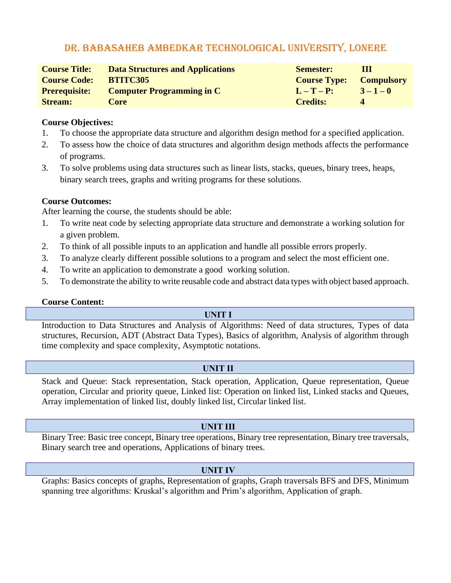| <b>Course Title:</b> | <b>Data Structures and Applications</b> | <b>Semester:</b>    | Ш                 |
|----------------------|-----------------------------------------|---------------------|-------------------|
| <b>Course Code:</b>  | <b>BTITC305</b>                         | <b>Course Type:</b> | <b>Compulsory</b> |
| <b>Prerequisite:</b> | <b>Computer Programming in C</b>        | $L-T-P$ :           | $3 - 1 - 0$       |
| <b>Stream:</b>       | Core                                    | <b>Credits:</b>     | $\Delta$          |

#### **Course Objectives:**

- 1. To choose the appropriate data structure and algorithm design method for a specified application.
- 2. To assess how the choice of data structures and algorithm design methods affects the performance of programs.
- 3. To solve problems using data structures such as linear lists, stacks, queues, binary trees, heaps, binary search trees, graphs and writing programs for these solutions.

### **Course Outcomes:**

After learning the course, the students should be able:

- 1. To write neat code by selecting appropriate data structure and demonstrate a working solution for a given problem.
- 2. To think of all possible inputs to an application and handle all possible errors properly.
- 3. To analyze clearly different possible solutions to a program and select the most efficient one.
- 4. To write an application to demonstrate a good working solution.
- 5. To demonstrate the ability to write reusable code and abstract data types with object based approach.

#### **Course Content:**

#### **UNIT I**

Introduction to Data Structures and Analysis of Algorithms: Need of data structures, Types of data structures, Recursion, ADT (Abstract Data Types), Basics of algorithm, Analysis of algorithm through time complexity and space complexity, Asymptotic notations.

## **UNIT II**

Stack and Queue: Stack representation, Stack operation, Application, Queue representation, Queue operation, Circular and priority queue, Linked list: Operation on linked list, Linked stacks and Queues, Array implementation of linked list, doubly linked list, Circular linked list.

## **UNIT III**

Binary Tree: Basic tree concept, Binary tree operations, Binary tree representation, Binary tree traversals, Binary search tree and operations, Applications of binary trees.

## **UNIT IV**

Graphs: Basics concepts of graphs, Representation of graphs, Graph traversals BFS and DFS, Minimum spanning tree algorithms: Kruskal's algorithm and Prim's algorithm, Application of graph.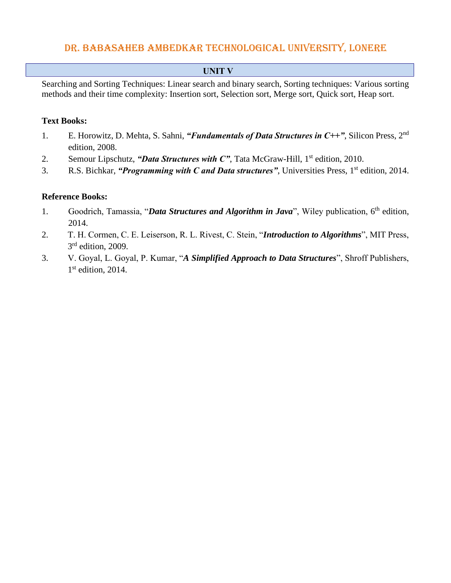## **UNIT V**

Searching and Sorting Techniques: Linear search and binary search, Sorting techniques: Various sorting methods and their time complexity: Insertion sort, Selection sort, Merge sort, Quick sort, Heap sort.

#### **Text Books:**

- 1. E. Horowitz, D. Mehta, S. Sahni, "*Fundamentals of Data Structures in C*++", Silicon Press, 2<sup>nd</sup> edition, 2008.
- 2. Semour Lipschutz, "*Data Structures with C*", Tata McGraw-Hill, 1<sup>st</sup> edition, 2010.
- 3. R.S. Bichkar, *"Programming with C and Data structures"*, Universities Press, 1 st edition, 2014.

- 1. Goodrich, Tamassia, "*Data Structures and Algorithm in Java*", Wiley publication, 6<sup>th</sup> edition, 2014.
- 2. T. H. Cormen, C. E. Leiserson, R. L. Rivest, C. Stein, "*Introduction to Algorithms*", MIT Press, 3<sup>rd</sup> edition, 2009.
- 3. V. Goyal, L. Goyal, P. Kumar, "*A Simplified Approach to Data Structures*", Shroff Publishers, 1st edition, 2014.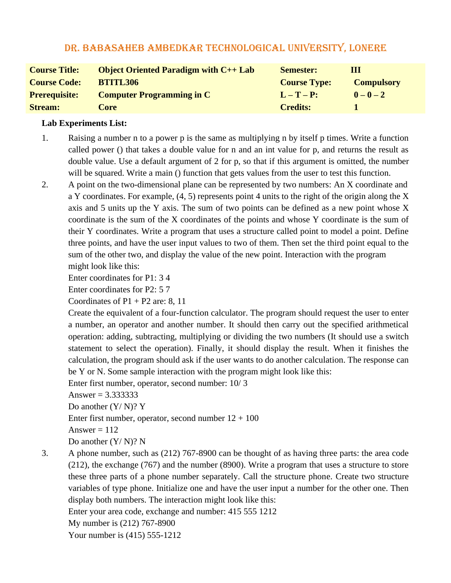| <b>Course Title:</b> | <b>Object Oriented Paradigm with <math>C_{++}</math> Lab</b> | <b>Semester:</b>    | Ш                 |
|----------------------|--------------------------------------------------------------|---------------------|-------------------|
| <b>Course Code:</b>  | <b>BTITL306</b>                                              | <b>Course Type:</b> | <b>Compulsory</b> |
| <b>Prerequisite:</b> | <b>Computer Programming in C</b>                             | $L-T-P$ :           | $0 - 0 - 2$       |
| <b>Stream:</b>       | Core                                                         | <b>Credits:</b>     |                   |

#### **Lab Experiments List:**

- 1. Raising a number n to a power p is the same as multiplying n by itself p times. Write a function called power () that takes a double value for n and an int value for p, and returns the result as double value. Use a default argument of 2 for p, so that if this argument is omitted, the number will be squared. Write a main () function that gets values from the user to test this function.
- 2. A point on the two-dimensional plane can be represented by two numbers: An X coordinate and a Y coordinates. For example, (4, 5) represents point 4 units to the right of the origin along the X axis and 5 units up the Y axis. The sum of two points can be defined as a new point whose X coordinate is the sum of the X coordinates of the points and whose Y coordinate is the sum of their Y coordinates. Write a program that uses a structure called point to model a point. Define three points, and have the user input values to two of them. Then set the third point equal to the sum of the other two, and display the value of the new point. Interaction with the program might look like this:

Enter coordinates for P1: 3 4

Enter coordinates for P2: 5 7

Coordinates of  $P1 + P2$  are: 8, 11

Create the equivalent of a four-function calculator. The program should request the user to enter a number, an operator and another number. It should then carry out the specified arithmetical operation: adding, subtracting, multiplying or dividing the two numbers (It should use a switch statement to select the operation). Finally, it should display the result. When it finishes the calculation, the program should ask if the user wants to do another calculation. The response can be Y or N. Some sample interaction with the program might look like this:

Enter first number, operator, second number: 10/ 3

Answer =  $3.3333333$ 

Do another (Y/ N)? Y

Enter first number, operator, second number  $12 + 100$ 

Answer  $= 112$ 

Do another (Y/ N)? N

3. A phone number, such as (212) 767-8900 can be thought of as having three parts: the area code (212), the exchange (767) and the number (8900). Write a program that uses a structure to store these three parts of a phone number separately. Call the structure phone. Create two structure variables of type phone. Initialize one and have the user input a number for the other one. Then display both numbers. The interaction might look like this:

Enter your area code, exchange and number: 415 555 1212

My number is (212) 767-8900

Your number is (415) 555-1212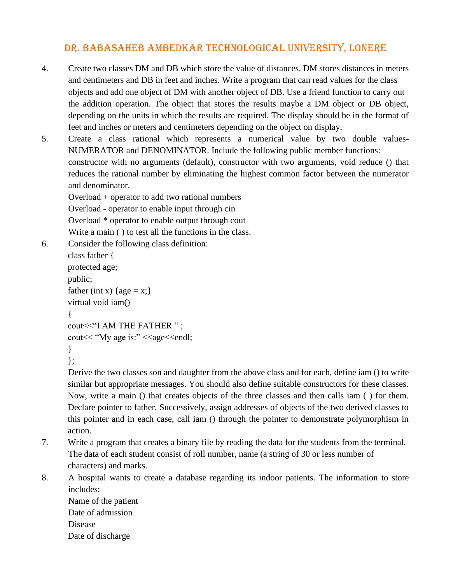- 4. Create two classes DM and DB which store the value of distances. DM stores distances in meters and centimeters and DB in feet and inches. Write a program that can read values for the class objects and add one object of DM with another object of DB. Use a friend function to carry out the addition operation. The object that stores the results maybe a DM object or DB object, depending on the units in which the results are required. The display should be in the format of feet and inches or meters and centimeters depending on the object on display.
- 5. Create a class rational which represents a numerical value by two double values-NUMERATOR and DENOMINATOR. Include the following public member functions: constructor with no arguments (default), constructor with two arguments, void reduce () that reduces the rational number by eliminating the highest common factor between the numerator and denominator.

Overload + operator to add two rational numbers Overload - operator to enable input through cin Overload \* operator to enable output through cout Write a main ( ) to test all the functions in the class.

6. Consider the following class definition:

```
class father {
protected age;
public;
father (int x) {age = x;}
virtual void iam()
{
cout<<"I AM THE FATHER " ;
cout<< "My age is:" <<age<<endl;
}
```
};

Derive the two classes son and daughter from the above class and for each, define iam () to write similar but appropriate messages. You should also define suitable constructors for these classes. Now, write a main () that creates objects of the three classes and then calls iam ( ) for them. Declare pointer to father. Successively, assign addresses of objects of the two derived classes to this pointer and in each case, call iam () through the pointer to demonstrate polymorphism in action.

- 7. Write a program that creates a binary file by reading the data for the students from the terminal. The data of each student consist of roll number, name (a string of 30 or less number of characters) and marks.
- 8. A hospital wants to create a database regarding its indoor patients. The information to store includes:

Name of the patient Date of admission Disease Date of discharge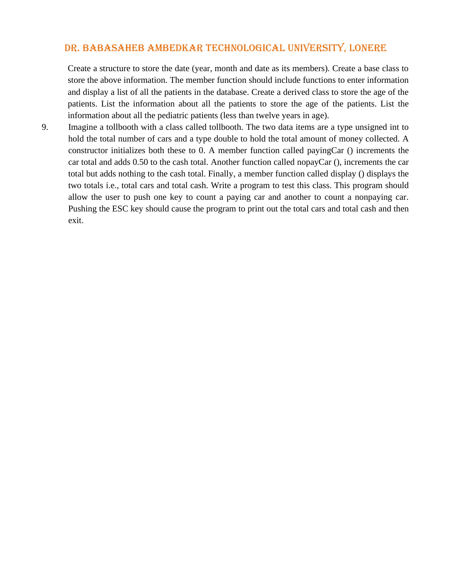Create a structure to store the date (year, month and date as its members). Create a base class to store the above information. The member function should include functions to enter information and display a list of all the patients in the database. Create a derived class to store the age of the patients. List the information about all the patients to store the age of the patients. List the information about all the pediatric patients (less than twelve years in age).

9. Imagine a tollbooth with a class called tollbooth. The two data items are a type unsigned int to hold the total number of cars and a type double to hold the total amount of money collected. A constructor initializes both these to 0. A member function called payingCar () increments the car total and adds 0.50 to the cash total. Another function called nopayCar (), increments the car total but adds nothing to the cash total. Finally, a member function called display () displays the two totals i.e., total cars and total cash. Write a program to test this class. This program should allow the user to push one key to count a paying car and another to count a nonpaying car. Pushing the ESC key should cause the program to print out the total cars and total cash and then exit.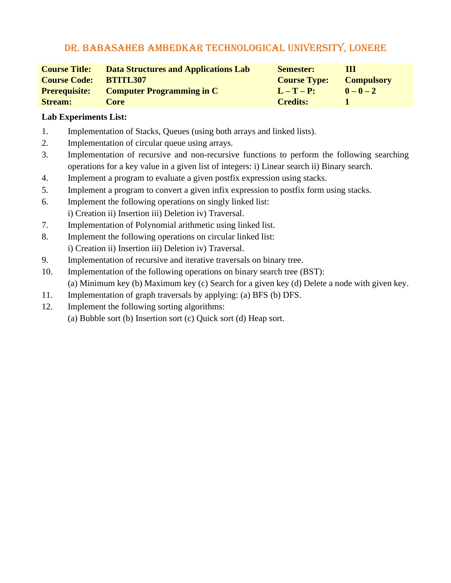| <b>Course Title:</b> | <b>Data Structures and Applications Lab</b> | <b>Semester:</b>    | Ш                 |
|----------------------|---------------------------------------------|---------------------|-------------------|
| <b>Course Code:</b>  | <b>BTITL307</b>                             | <b>Course Type:</b> | <b>Compulsory</b> |
| <b>Prerequisite:</b> | <b>Computer Programming in C</b>            | $L-T-P$ :           | $0 - 0 - 2$       |
| <b>Stream:</b>       | Core                                        | <b>Credits:</b>     |                   |

## **Lab Experiments List:**

- 1. Implementation of Stacks, Queues (using both arrays and linked lists).
- 2. Implementation of circular queue using arrays.
- 3. Implementation of recursive and non-recursive functions to perform the following searching operations for a key value in a given list of integers: i) Linear search ii) Binary search.
- 4. Implement a program to evaluate a given postfix expression using stacks.
- 5. Implement a program to convert a given infix expression to postfix form using stacks.
- 6. Implement the following operations on singly linked list:
- i) Creation ii) Insertion iii) Deletion iv) Traversal.
- 7. Implementation of Polynomial arithmetic using linked list.
- 8. Implement the following operations on circular linked list: i) Creation ii) Insertion iii) Deletion iv) Traversal.
- 9. Implementation of recursive and iterative traversals on binary tree.
- 10. Implementation of the following operations on binary search tree (BST): (a) Minimum key (b) Maximum key (c) Search for a given key (d) Delete a node with given key.
- 11. Implementation of graph traversals by applying: (a) BFS (b) DFS.
- 12. Implement the following sorting algorithms:
	- (a) Bubble sort (b) Insertion sort (c) Quick sort (d) Heap sort.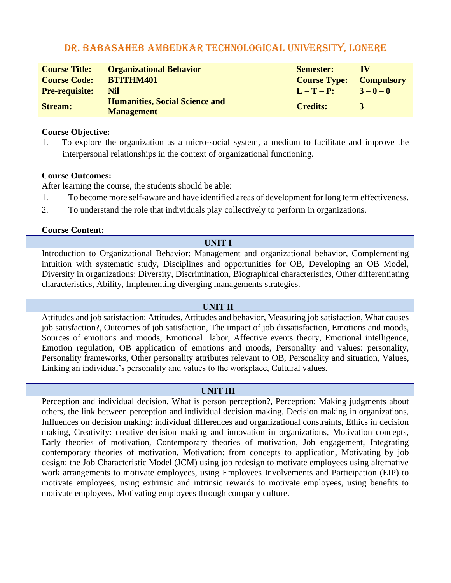| <b>Course Title:</b><br><b>Course Code:</b> | <b>Organizational Behavior</b><br><b>BTITHM401</b>         | <b>Semester:</b><br><b>Course Type: Compulsory</b> | 1 V       |
|---------------------------------------------|------------------------------------------------------------|----------------------------------------------------|-----------|
| <b>Pre-requisite:</b>                       | Nil                                                        | $L-T-P$ :                                          | $3-0-0$   |
| <b>Stream:</b>                              | <b>Humanities, Social Science and</b><br><b>Management</b> | <b>Credits:</b>                                    | <b>37</b> |

#### **Course Objective:**

1. To explore the organization as a micro-social system, a medium to facilitate and improve the interpersonal relationships in the context of organizational functioning.

#### **Course Outcomes:**

After learning the course, the students should be able:

- 1. To become more self-aware and have identified areas of development for long term effectiveness.
- 2. To understand the role that individuals play collectively to perform in organizations.

#### **Course Content:**

#### **UNIT I**

Introduction to Organizational Behavior: Management and organizational behavior, Complementing intuition with systematic study, Disciplines and opportunities for OB, Developing an OB Model, Diversity in organizations: Diversity, Discrimination, Biographical characteristics, Other differentiating characteristics, Ability, Implementing diverging managements strategies.

#### **UNIT II**

Attitudes and job satisfaction: Attitudes, Attitudes and behavior, Measuring job satisfaction, What causes job satisfaction?, Outcomes of job satisfaction, The impact of job dissatisfaction, Emotions and moods, Sources of emotions and moods, Emotional labor, Affective events theory, Emotional intelligence, Emotion regulation, OB application of emotions and moods, Personality and values: personality, Personality frameworks, Other personality attributes relevant to OB, Personality and situation, Values, Linking an individual's personality and values to the workplace, Cultural values.

#### **UNIT III**

Perception and individual decision, What is person perception?, Perception: Making judgments about others, the link between perception and individual decision making, Decision making in organizations, Influences on decision making: individual differences and organizational constraints, Ethics in decision making, Creativity: creative decision making and innovation in organizations, Motivation concepts, Early theories of motivation, Contemporary theories of motivation, Job engagement, Integrating contemporary theories of motivation, Motivation: from concepts to application, Motivating by job design: the Job Characteristic Model (JCM) using job redesign to motivate employees using alternative work arrangements to motivate employees, using Employees Involvements and Participation (EIP) to motivate employees, using extrinsic and intrinsic rewards to motivate employees, using benefits to motivate employees, Motivating employees through company culture.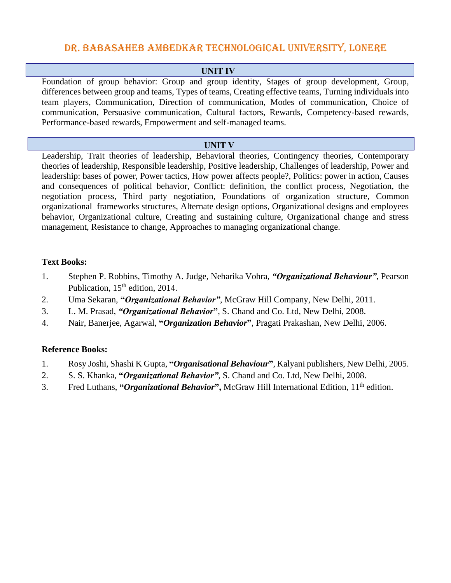#### **UNIT IV**

Foundation of group behavior: Group and group identity, Stages of group development, Group, differences between group and teams, Types of teams, Creating effective teams, Turning individuals into team players, Communication, Direction of communication, Modes of communication, Choice of communication, Persuasive communication, Cultural factors, Rewards, Competency-based rewards, Performance-based rewards, Empowerment and self-managed teams.

#### **UNIT V**

Leadership, Trait theories of leadership, Behavioral theories, Contingency theories, Contemporary theories of leadership, Responsible leadership, Positive leadership, Challenges of leadership, Power and leadership: bases of power, Power tactics, How power affects people?, Politics: power in action, Causes and consequences of political behavior, Conflict: definition, the conflict process, Negotiation, the negotiation process, Third party negotiation, Foundations of organization structure, Common organizational frameworks structures, Alternate design options, Organizational designs and employees behavior, Organizational culture, Creating and sustaining culture, Organizational change and stress management, Resistance to change, Approaches to managing organizational change.

#### **Text Books:**

- 1. Stephen P. Robbins, Timothy A. Judge, Neharika Vohra, *"Organizational Behaviour"*, Pearson Publication, 15<sup>th</sup> edition, 2014.
- 2. Uma Sekaran, **"***Organizational Behavior"*, McGraw Hill Company, New Delhi, 2011.
- 3. L. M. Prasad, *"Organizational Behavior***"**, S. Chand and Co. Ltd, New Delhi, 2008.
- 4. Nair, Banerjee, Agarwal, **"***Organization Behavior***"**, Pragati Prakashan, New Delhi, 2006.

- 1. Rosy Joshi, Shashi K Gupta, **"***Organisational Behaviour***"**, Kalyani publishers, New Delhi, 2005.
- 2. S. S. Khanka, **"***Organizational Behavior"*, S. Chand and Co. Ltd, New Delhi, 2008.
- 3. Fred Luthans, **"***Organizational Behavior***",** McGraw Hill International Edition, 11th edition.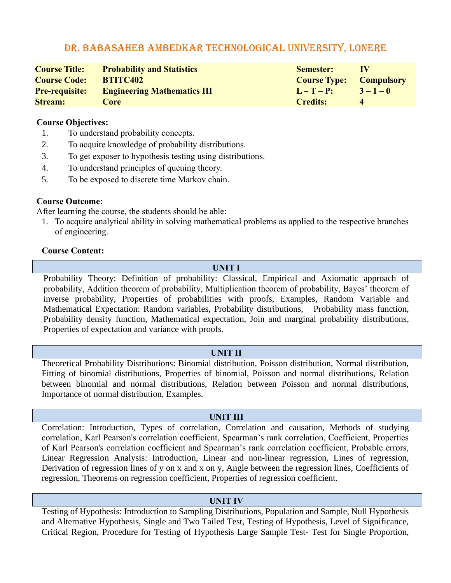| <b>Course Title:</b> | <b>Probability and Statistics</b>                 | <b>Semester:</b>               | <b>IV</b>   |
|----------------------|---------------------------------------------------|--------------------------------|-------------|
| <b>Course Code:</b>  | BTITC402                                          | <b>Course Type: Compulsory</b> |             |
|                      | <b>Pre-requisite:</b> Engineering Mathematics III | $L-T-P$ :                      | $3 - 1 - 0$ |
| <b>Stream:</b>       | <b>Core</b>                                       | <b>Credits:</b>                |             |

#### **Course Objectives:**

- 1. To understand probability concepts.
- 2. To acquire knowledge of probability distributions.
- 3. To get exposer to hypothesis testing using distributions.
- 4. To understand principles of queuing theory.
- 5. To be exposed to discrete time Markov chain.

### **Course Outcome:**

After learning the course, the students should be able:

1. To acquire analytical ability in solving mathematical problems as applied to the respective branches of engineering.

#### **Course Content:**

#### **UNIT I**

Probability Theory: Definition of probability: Classical, Empirical and Axiomatic approach of probability, Addition theorem of probability, Multiplication theorem of probability, Bayes' theorem of inverse probability, Properties of probabilities with proofs, Examples, Random Variable and Mathematical Expectation: Random variables, Probability distributions, Probability mass function, Probability density function, Mathematical expectation, Join and marginal probability distributions, Properties of expectation and variance with proofs.

#### **UNIT II**

Theoretical Probability Distributions: Binomial distribution, Poisson distribution, Normal distribution, Fitting of binomial distributions, Properties of binomial, Poisson and normal distributions, Relation between binomial and normal distributions, Relation between Poisson and normal distributions, Importance of normal distribution, Examples.

## **UNIT III**

Correlation: Introduction, Types of correlation, Correlation and causation, Methods of studying correlation, Karl Pearson's correlation coefficient, Spearman's rank correlation, Coefficient, Properties of Karl Pearson's correlation coefficient and Spearman's rank correlation coefficient, Probable errors, Linear Regression Analysis: Introduction, Linear and non-linear regression, Lines of regression, Derivation of regression lines of y on x and x on y, Angle between the regression lines, Coefficients of regression, Theorems on regression coefficient, Properties of regression coefficient.

#### **UNIT IV**

Testing of Hypothesis: Introduction to Sampling Distributions, Population and Sample, Null Hypothesis and Alternative Hypothesis, Single and Two Tailed Test, Testing of Hypothesis, Level of Significance, Critical Region, Procedure for Testing of Hypothesis Large Sample Test- Test for Single Proportion,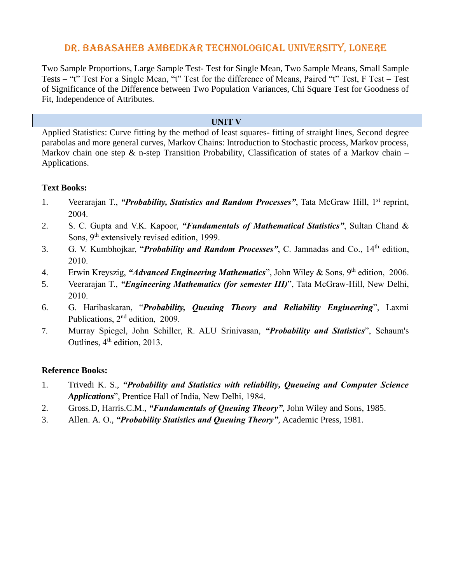Two Sample Proportions, Large Sample Test- Test for Single Mean, Two Sample Means, Small Sample Tests – "t" Test For a Single Mean, "t" Test for the difference of Means, Paired "t" Test, F Test – Test of Significance of the Difference between Two Population Variances, Chi Square Test for Goodness of Fit, Independence of Attributes.

#### **UNIT V**

Applied Statistics: Curve fitting by the method of least squares- fitting of straight lines, Second degree parabolas and more general curves, Markov Chains: Introduction to Stochastic process, Markov process, Markov chain one step  $\&$  n-step Transition Probability, Classification of states of a Markov chain – Applications.

#### **Text Books:**

- 1. Veerarajan T., "*Probability, Statistics and Random Processes*", Tata McGraw Hill, 1<sup>st</sup> reprint, 2004.
- 2. S. C. Gupta and V.K. Kapoor, *"Fundamentals of Mathematical Statistics"*, Sultan Chand & Sons, 9<sup>th</sup> extensively revised edition, 1999.
- 3. G. V. Kumbhojkar, "*Probability and Random Processes"*, C. Jamnadas and Co., 14th edition, 2010.
- 4. Erwin Kreyszig, "*Advanced Engineering Mathematics*", John Wiley & Sons, 9<sup>th</sup> edition, 2006.
- 5. Veerarajan T., *"Engineering Mathematics (for semester III)*", Tata McGraw-Hill, New Delhi, 2010.
- 6. G. Haribaskaran, "*Probability, Queuing Theory and Reliability Engineering*", Laxmi Publications, 2<sup>nd</sup> edition, 2009.
- 7. Murray Spiegel, John Schiller, R. ALU Srinivasan, *"Probability and Statistics*", Schaum's Outlines, 4<sup>th</sup> edition, 2013.

- 1. Trivedi K. S., *"Probability and Statistics with reliability, Queueing and Computer Science Applications*", Prentice Hall of India, New Delhi, 1984.
- 2. Gross.D, Harris.C.M., *"Fundamentals of Queuing Theory"*, John Wiley and Sons, 1985.
- 3. Allen. A. O., *"Probability Statistics and Queuing Theory"*, Academic Press, 1981.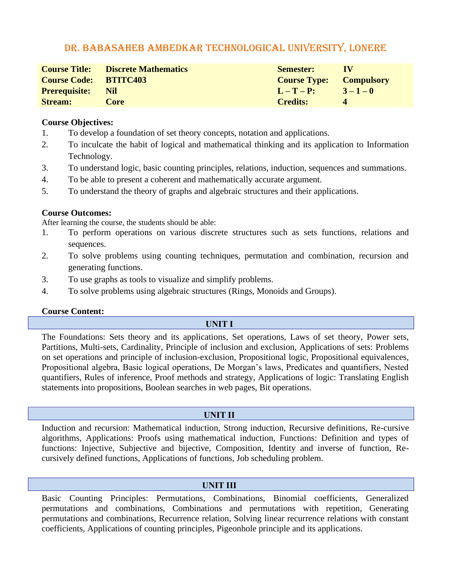|                              | <b>Course Title:</b> Discrete Mathematics | <b>Semester:</b>               | TV             |
|------------------------------|-------------------------------------------|--------------------------------|----------------|
| <b>Course Code: BTITC403</b> |                                           | <b>Course Type: Compulsory</b> |                |
| <b>Prerequisite:</b> Nil     |                                           | $L-T-P$ :                      | $3 - 1 - 0$    |
| <b>Stream:</b>               | Core                                      | <b>Credits:</b>                | $\overline{4}$ |

#### **Course Objectives:**

- 1. To develop a foundation of set theory concepts, notation and applications.
- 2. To inculcate the habit of logical and mathematical thinking and its application to Information Technology.
- 3. To understand logic, basic counting principles, relations, induction, sequences and summations.
- 4. To be able to present a coherent and mathematically accurate argument.
- 5. To understand the theory of graphs and algebraic structures and their applications.

### **Course Outcomes:**

After learning the course, the students should be able:

- 1. To perform operations on various discrete structures such as sets functions, relations and sequences.
- 2. To solve problems using counting techniques, permutation and combination, recursion and generating functions.
- 3. To use graphs as tools to visualize and simplify problems.
- 4. To solve problems using algebraic structures (Rings, Monoids and Groups).

#### **Course Content:**

## **UNIT I**

The Foundations: Sets theory and its applications, Set operations, Laws of set theory, Power sets, Partitions, Multi-sets, Cardinality, Principle of inclusion and exclusion, Applications of sets: Problems on set operations and principle of inclusion-exclusion, Propositional logic, Propositional equivalences, Propositional algebra, Basic logical operations, De Morgan's laws, Predicates and quantifiers, Nested quantifiers, Rules of inference, Proof methods and strategy, Applications of logic: Translating English statements into propositions, Boolean searches in web pages, Bit operations.

## **UNIT II**

Induction and recursion: Mathematical induction, Strong induction, Recursive definitions, Re-cursive algorithms, Applications: Proofs using mathematical induction, Functions: Definition and types of functions: Injective, Subjective and bijective, Composition, Identity and inverse of function, Recursively defined functions, Applications of functions, Job scheduling problem.

## **UNIT III**

Basic Counting Principles: Permutations, Combinations, Binomial coefficients, Generalized permutations and combinations, Combinations and permutations with repetition, Generating permutations and combinations, Recurrence relation, Solving linear recurrence relations with constant coefficients, Applications of counting principles, Pigeonhole principle and its applications.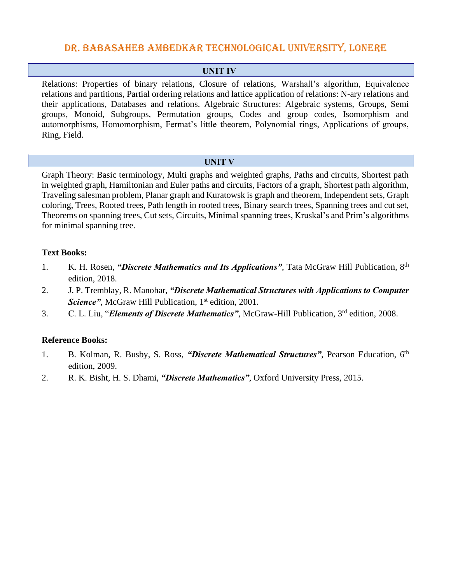### **UNIT IV**

Relations: Properties of binary relations, Closure of relations, Warshall's algorithm, Equivalence relations and partitions, Partial ordering relations and lattice application of relations: N-ary relations and their applications, Databases and relations. Algebraic Structures: Algebraic systems, Groups, Semi groups, Monoid, Subgroups, Permutation groups, Codes and group codes, Isomorphism and automorphisms, Homomorphism, Fermat's little theorem, Polynomial rings, Applications of groups, Ring, Field.

#### **UNIT V**

Graph Theory: Basic terminology, Multi graphs and weighted graphs, Paths and circuits, Shortest path in weighted graph, Hamiltonian and Euler paths and circuits, Factors of a graph, Shortest path algorithm, Traveling salesman problem, Planar graph and Kuratowsk is graph and theorem, Independent sets, Graph coloring, Trees, Rooted trees, Path length in rooted trees, Binary search trees, Spanning trees and cut set, Theorems on spanning trees, Cut sets, Circuits, Minimal spanning trees, Kruskal's and Prim's algorithms for minimal spanning tree.

### **Text Books:**

- 1. K. H. Rosen, "*Discrete Mathematics and Its Applications*", Tata McGraw Hill Publication, 8<sup>th</sup> edition, 2018.
- 2. J. P. Tremblay, R. Manohar, *"Discrete Mathematical Structures with Applications to Computer*  Science", McGraw Hill Publication, 1<sup>st</sup> edition, 2001.
- 3. C. L. Liu, "*Elements of Discrete Mathematics"*, McGraw-Hill Publication, 3<sup>rd</sup> edition, 2008.

- 1. B. Kolman, R. Busby, S. Ross, "Discrete Mathematical Structures", Pearson Education, 6<sup>th</sup> edition, 2009.
- 2. R. K. Bisht, H. S. Dhami, *"Discrete Mathematics"*, Oxford University Press, 2015.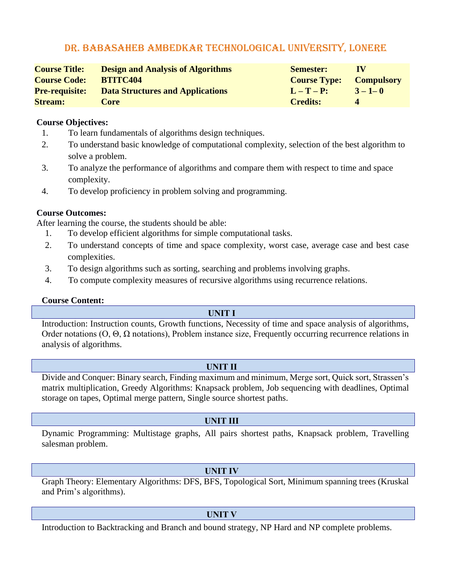| <b>Course Title:</b>  | <b>Design and Analysis of Algorithms</b> | <b>Semester:</b>    | $\bf{IV}$         |
|-----------------------|------------------------------------------|---------------------|-------------------|
| <b>Course Code:</b>   | <b>BTITC404</b>                          | <b>Course Type:</b> | <b>Compulsory</b> |
| <b>Pre-requisite:</b> | <b>Data Structures and Applications</b>  | $L-T-P$ :           | $3 - 1 - 0$       |
| <b>Stream:</b>        | Core                                     | <b>Credits:</b>     |                   |

#### **Course Objectives:**

- 1. To learn fundamentals of algorithms design techniques.
- 2. To understand basic knowledge of computational complexity, selection of the best algorithm to solve a problem.
- 3. To analyze the performance of algorithms and compare them with respect to time and space complexity.
- 4. To develop proficiency in problem solving and programming.

### **Course Outcomes:**

After learning the course, the students should be able:

- 1. To develop efficient algorithms for simple computational tasks.
- 2. To understand concepts of time and space complexity, worst case, average case and best case complexities.
- 3. To design algorithms such as sorting, searching and problems involving graphs.
- 4. To compute complexity measures of recursive algorithms using recurrence relations.

#### **Course Content:**

#### **UNIT I**

Introduction: Instruction counts, Growth functions, Necessity of time and space analysis of algorithms, Order notations (O, Θ, Ω notations), Problem instance size, Frequently occurring recurrence relations in analysis of algorithms.

#### **UNIT II**

Divide and Conquer: Binary search, Finding maximum and minimum, Merge sort, Quick sort, Strassen's matrix multiplication, Greedy Algorithms: Knapsack problem, Job sequencing with deadlines, Optimal storage on tapes, Optimal merge pattern, Single source shortest paths.

## **UNIT III**

Dynamic Programming: Multistage graphs, All pairs shortest paths, Knapsack problem, Travelling salesman problem.

#### **UNIT IV**

Graph Theory: Elementary Algorithms: DFS, BFS, Topological Sort, Minimum spanning trees (Kruskal and Prim's algorithms).

#### **UNIT V**

Introduction to Backtracking and Branch and bound strategy, NP Hard and NP complete problems.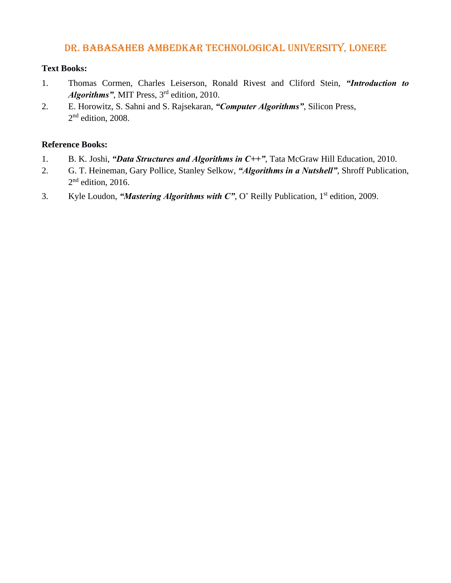### **Text Books:**

- 1. Thomas Cormen, Charles Leiserson, Ronald Rivest and Cliford Stein, *"Introduction to*  Algorithms", MIT Press, 3<sup>rd</sup> edition, 2010.
- 2. E. Horowitz, S. Sahni and S. Rajsekaran, *"Computer Algorithms"*, Silicon Press, 2<sup>nd</sup> edition, 2008.

- 1. B. K. Joshi, *"Data Structures and Algorithms in C++"*, Tata McGraw Hill Education, 2010.
- 2. G. T. Heineman, Gary Pollice, Stanley Selkow, *"Algorithms in a Nutshell"*, Shroff Publication,  $2<sup>nd</sup>$  edition, 2016.
- 3. Kyle Loudon, "*Mastering Algorithms with C"*, O' Reilly Publication, 1<sup>st</sup> edition, 2009.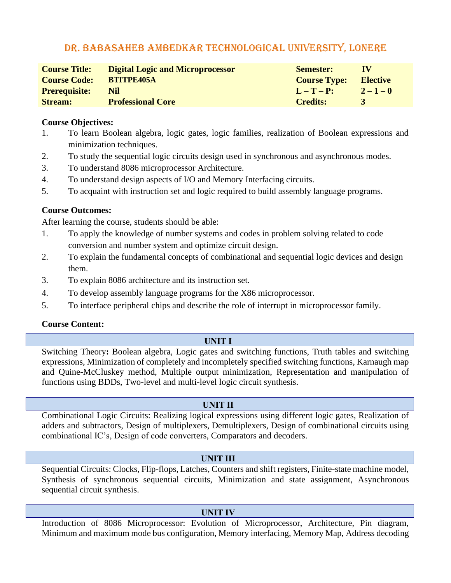| <b>Course Title:</b> | <b>Digital Logic and Microprocessor</b> | <b>Semester:</b>    | $\bf{IV}$       |
|----------------------|-----------------------------------------|---------------------|-----------------|
| <b>Course Code:</b>  | <b>BTITPE405A</b>                       | <b>Course Type:</b> | <b>Elective</b> |
| <b>Prerequisite:</b> | Nil                                     | $L-T-P$ :           | $2 - 1 - 0$     |
| <b>Stream:</b>       | <b>Professional Core</b>                | <b>Credits:</b>     | $\mathbf{z}$    |

#### **Course Objectives:**

- 1. To learn Boolean algebra, logic gates, logic families, realization of Boolean expressions and minimization techniques.
- 2. To study the sequential logic circuits design used in synchronous and asynchronous modes.
- 3. To understand 8086 microprocessor Architecture.
- 4. To understand design aspects of I/O and Memory Interfacing circuits.
- 5. To acquaint with instruction set and logic required to build assembly language programs.

## **Course Outcomes:**

After learning the course, students should be able:

- 1. To apply the knowledge of number systems and codes in problem solving related to code conversion and number system and optimize circuit design.
- 2. To explain the fundamental concepts of combinational and sequential logic devices and design them.
- 3. To explain 8086 architecture and its instruction set.
- 4. To develop assembly language programs for the X86 microprocessor.
- 5. To interface peripheral chips and describe the role of interrupt in microprocessor family.

## **Course Content:**

## **UNIT I**

Switching Theory**:** Boolean algebra, Logic gates and switching functions, Truth tables and switching expressions, Minimization of completely and incompletely specified switching functions, Karnaugh map and Quine-McCluskey method, Multiple output minimization, Representation and manipulation of functions using BDDs, Two-level and multi-level logic circuit synthesis.

## **UNIT II**

Combinational Logic Circuits: Realizing logical expressions using different logic gates, Realization of adders and subtractors, Design of multiplexers, Demultiplexers, Design of combinational circuits using combinational IC's, Design of code converters, Comparators and decoders.

## **UNIT III**

Sequential Circuits: Clocks, Flip-flops, Latches, Counters and shift registers, Finite-state machine model, Synthesis of synchronous sequential circuits, Minimization and state assignment, Asynchronous sequential circuit synthesis.

## **UNIT IV**

Introduction of 8086 Microprocessor: Evolution of Microprocessor, Architecture, Pin diagram, Minimum and maximum mode bus configuration, Memory interfacing, Memory Map, Address decoding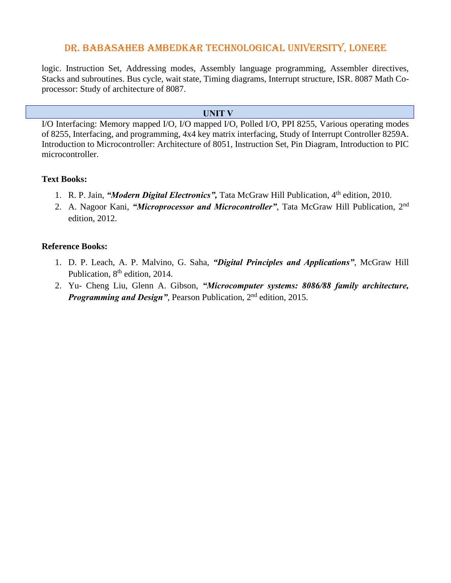logic. Instruction Set, Addressing modes, Assembly language programming, Assembler directives, Stacks and subroutines. Bus cycle, wait state, Timing diagrams, Interrupt structure, ISR. 8087 Math Coprocessor: Study of architecture of 8087.

#### **UNIT V**

I/O Interfacing: Memory mapped I/O, I/O mapped I/O, Polled I/O, PPI 8255, Various operating modes of 8255, Interfacing, and programming, 4x4 key matrix interfacing, Study of Interrupt Controller 8259A. Introduction to Microcontroller: Architecture of 8051, Instruction Set, Pin Diagram, Introduction to PIC microcontroller.

#### **Text Books:**

- 1. R. P. Jain, *"Modern Digital Electronics"*, Tata McGraw Hill Publication, 4<sup>th</sup> edition, 2010.
- 2. A. Nagoor Kani, *"Microprocessor and Microcontroller"*, Tata McGraw Hill Publication, 2nd edition, 2012.

- 1. D. P. Leach, A. P. Malvino, G. Saha, *"Digital Principles and Applications"*, McGraw Hill Publication, 8<sup>th</sup> edition, 2014.
- 2. Yu- Cheng Liu, Glenn A. Gibson, *"Microcomputer systems: 8086/88 family architecture, Programming and Design"*, Pearson Publication, 2<sup>nd</sup> edition, 2015.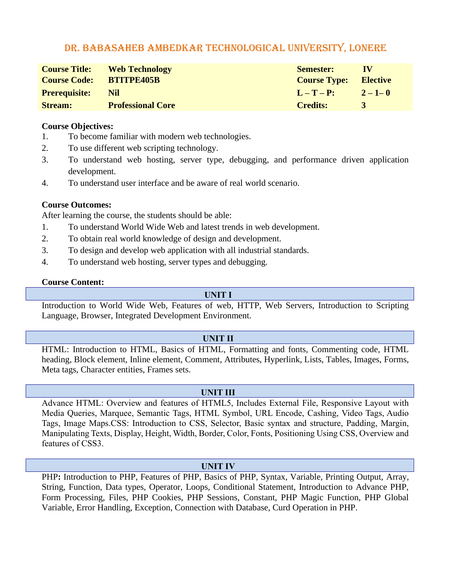| <b>Course Title:</b><br><b>Course Code:</b> | <b>Web Technology</b><br><b>BTITPE405B</b> | <b>Semester:</b><br><b>Course Type:</b> | <b>IV</b><br><b>Elective</b> |
|---------------------------------------------|--------------------------------------------|-----------------------------------------|------------------------------|
| <b>Prerequisite:</b>                        | Nil                                        | $L-T-P$ :                               | $2 - 1 - 0$                  |
| <b>Stream:</b>                              | <b>Professional Core</b>                   | <b>Credits:</b>                         | $\mathbf{z}$                 |

#### **Course Objectives:**

- 1. To become familiar with modern web technologies.
- 2. To use different web scripting technology.
- 3. To understand web hosting, server type, debugging, and performance driven application development.
- 4. To understand user interface and be aware of real world scenario.

#### **Course Outcomes:**

After learning the course, the students should be able:

- 1. To understand World Wide Web and latest trends in web development.
- 2. To obtain real world knowledge of design and development.
- 3. To design and develop web application with all industrial standards.
- 4. To understand web hosting, server types and debugging.

#### **Course Content:**

#### **UNIT I**

Introduction to World Wide Web, Features of web, HTTP, Web Servers, Introduction to Scripting Language, Browser, Integrated Development Environment.

#### **UNIT II**

HTML: Introduction to HTML, Basics of HTML, Formatting and fonts, Commenting code, HTML heading, Block element, Inline element, Comment, Attributes, Hyperlink, Lists, Tables, Images, Forms, Meta tags, Character entities, Frames sets.

#### **UNIT III**

Advance HTML: Overview and features of HTML5, Includes External File, Responsive Layout with Media Queries, Marquee, Semantic Tags, HTML Symbol, URL Encode, Cashing, Video Tags, Audio Tags, Image Maps.CSS: Introduction to CSS, Selector, Basic syntax and structure, Padding, Margin, Manipulating Texts, Display, Height, Width, Border, Color, Fonts, Positioning Using CSS, Overview and features of CSS3.

#### **UNIT IV**

PHP: Introduction to PHP, Features of PHP, Basics of PHP, Syntax, Variable, Printing Output, Array, String, Function, Data types, Operator, Loops, Conditional Statement, Introduction to Advance PHP, Form Processing, Files, PHP Cookies, PHP Sessions, Constant, PHP Magic Function, PHP Global Variable, Error Handling, Exception, Connection with Database, Curd Operation in PHP.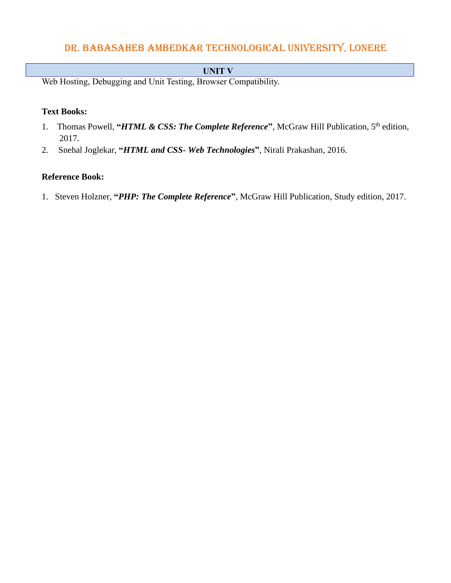### **UNIT V**

Web Hosting, Debugging and Unit Testing, Browser Compatibility.

#### **Text Books:**

- 1. Thomas Powell, "*HTML & CSS: The Complete Reference*", McGraw Hill Publication, 5<sup>th</sup> edition, 2017.
- 2. Snehal Joglekar, **"***HTML and CSS- Web Technologies***"**, Nirali Prakashan, 2016.

#### **Reference Book:**

1. Steven Holzner, **"***PHP: The Complete Reference***"**, McGraw Hill Publication, Study edition, 2017.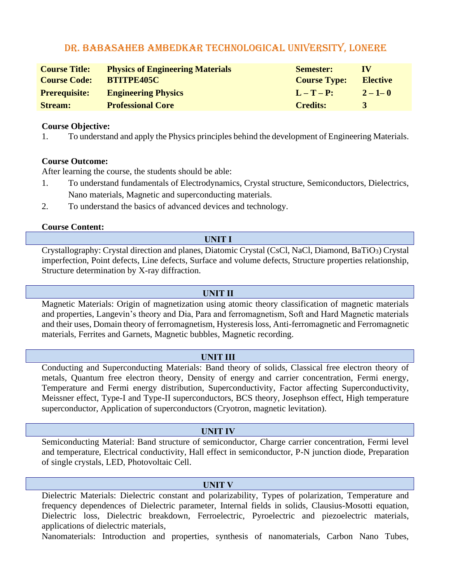| <b>Course Title:</b><br><b>Course Code:</b> | <b>Physics of Engineering Materials</b><br><b>BTITPE405C</b> | <b>Semester:</b><br><b>Course Type:</b> | $\bf{IV}$<br><b>Elective</b> |
|---------------------------------------------|--------------------------------------------------------------|-----------------------------------------|------------------------------|
| <b>Prerequisite:</b>                        | <b>Engineering Physics</b>                                   | $L - T - P$ :                           | $2 - 1 - 0$                  |
| <b>Stream:</b>                              | <b>Professional Core</b>                                     | <b>Credits:</b>                         | $\mathbf{z}$                 |

#### **Course Objective:**

1. To understand and apply the Physics principles behind the development of Engineering Materials.

#### **Course Outcome:**

After learning the course, the students should be able:

- 1. To understand fundamentals of Electrodynamics, Crystal structure, Semiconductors, Dielectrics, Nano materials, Magnetic and superconducting materials.
- 2. To understand the basics of advanced devices and technology.

#### **Course Content:**

#### **UNIT I**

Crystallography: Crystal direction and planes, Diatomic Crystal (CsCl, NaCl, Diamond, BaTiO3) Crystal imperfection, Point defects, Line defects, Surface and volume defects, Structure properties relationship, Structure determination by X-ray diffraction.

#### **UNIT II**

Magnetic Materials: Origin of magnetization using atomic theory classification of magnetic materials and properties, Langevin's theory and Dia, Para and ferromagnetism, Soft and Hard Magnetic materials and their uses, Domain theory of ferromagnetism, Hysteresis loss, Anti-ferromagnetic and Ferromagnetic materials, Ferrites and Garnets, Magnetic bubbles, Magnetic recording.

#### **UNIT III**

Conducting and Superconducting Materials: Band theory of solids, Classical free electron theory of metals, Quantum free electron theory, Density of energy and carrier concentration, Fermi energy, Temperature and Fermi energy distribution, Superconductivity, Factor affecting Superconductivity, Meissner effect, Type-I and Type-II superconductors, BCS theory, Josephson effect, High temperature superconductor, Application of superconductors (Cryotron, magnetic levitation).

#### **UNIT IV**

Semiconducting Material: Band structure of semiconductor, Charge carrier concentration, Fermi level and temperature, Electrical conductivity, Hall effect in semiconductor, P-N junction diode, Preparation of single crystals, LED, Photovoltaic Cell.

#### **UNIT V**

Dielectric Materials: Dielectric constant and polarizability, Types of polarization, Temperature and frequency dependences of Dielectric parameter, Internal fields in solids, Clausius-Mosotti equation, Dielectric loss, Dielectric breakdown, Ferroelectric, Pyroelectric and piezoelectric materials, applications of dielectric materials,

Nanomaterials: Introduction and properties, synthesis of nanomaterials, Carbon Nano Tubes,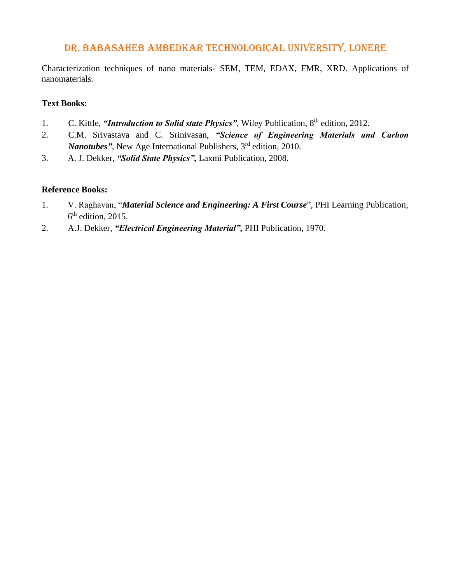Characterization techniques of nano materials- SEM, TEM, EDAX, FMR, XRD. Applications of nanomaterials.

### **Text Books:**

- 1. C. Kittle, "*Introduction to Solid state Physics*", Wiley Publication, 8<sup>th</sup> edition, 2012.
- 2. C.M. Srivastava and C. Srinivasan, *"Science of Engineering Materials and Carbon*  Nanotubes", New Age International Publishers, 3<sup>rd</sup> edition, 2010.
- 3. A. J. Dekker, *"Solid State Physics",* Laxmi Publication*,* 2008.

- 1. V. Raghavan, "*Material Science and Engineering: A First Course*", PHI Learning Publication,  $6<sup>th</sup>$  edition, 2015.
- 2. A.J. Dekker, *"Electrical Engineering Material",* PHI Publication, 1970.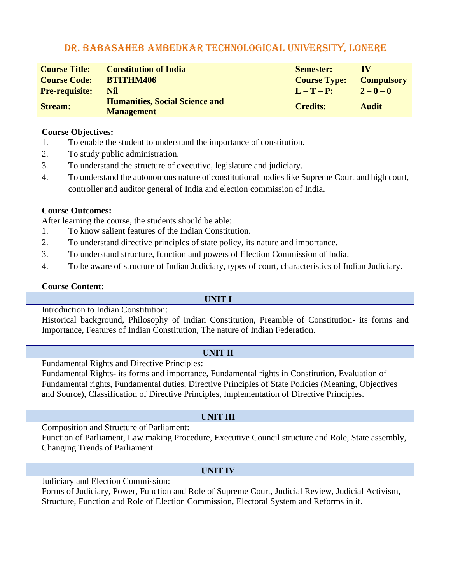| <b>Course Title:</b><br><b>Course Code:</b> | <b>Constitution of India</b><br><b>BTITHM406</b>           | <b>Semester:</b><br><b>Course Type:</b> | TV<br><b>Compulsory</b> |
|---------------------------------------------|------------------------------------------------------------|-----------------------------------------|-------------------------|
| <b>Pre-requisite:</b>                       | Nil                                                        | $L-T-P$ :                               | $2 - 0 - 0$             |
| <b>Stream:</b>                              | <b>Humanities, Social Science and</b><br><b>Management</b> | <b>Credits:</b>                         | <b>Audit</b>            |

#### **Course Objectives:**

- 1. To enable the student to understand the importance of constitution.
- 2. To study public administration.
- 3. To understand the structure of executive, legislature and judiciary.
- 4. To understand the autonomous nature of constitutional bodies like Supreme Court and high court, controller and auditor general of India and election commission of India.

#### **Course Outcomes:**

After learning the course, the students should be able:

- 1. To know salient features of the Indian Constitution.
- 2. To understand directive principles of state policy, its nature and importance.
- 3. To understand structure, function and powers of Election Commission of India.
- 4. To be aware of structure of Indian Judiciary, types of court, characteristics of Indian Judiciary.

#### **Course Content:**

#### **UNIT I**

Introduction to Indian Constitution:

Historical background, Philosophy of Indian Constitution, Preamble of Constitution- its forms and Importance, Features of Indian Constitution, The nature of Indian Federation.

#### **UNIT II**

Fundamental Rights and Directive Principles:

Fundamental Rights- its forms and importance, Fundamental rights in Constitution, Evaluation of Fundamental rights, Fundamental duties, Directive Principles of State Policies (Meaning, Objectives and Source), Classification of Directive Principles, Implementation of Directive Principles.

## **UNIT III**

Composition and Structure of Parliament:

Function of Parliament, Law making Procedure, Executive Council structure and Role, State assembly, Changing Trends of Parliament.

## **UNIT IV**

Judiciary and Election Commission:

Forms of Judiciary, Power, Function and Role of Supreme Court, Judicial Review, Judicial Activism, Structure, Function and Role of Election Commission, Electoral System and Reforms in it.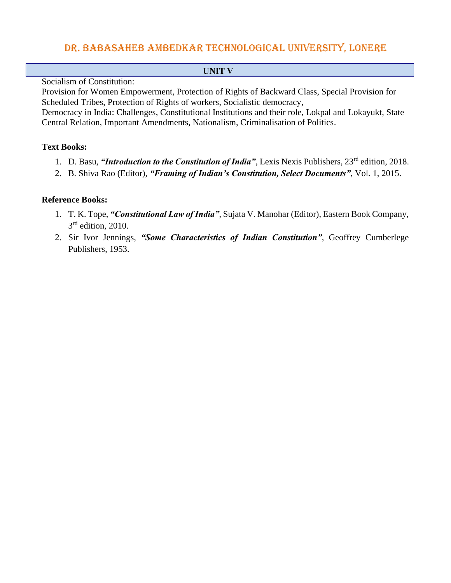**UNIT V**

Socialism of Constitution:

Provision for Women Empowerment, Protection of Rights of Backward Class, Special Provision for Scheduled Tribes, Protection of Rights of workers, Socialistic democracy,

Democracy in India: Challenges, Constitutional Institutions and their role, Lokpal and Lokayukt, State Central Relation, Important Amendments, Nationalism, Criminalisation of Politics.

## **Text Books:**

- 1. D. Basu, *"Introduction to the Constitution of India"*, Lexis Nexis Publishers, 23rd edition, 2018.
- 2. B. Shiva Rao (Editor), *"Framing of Indian's Constitution, Select Documents"*, Vol. 1, 2015.

- 1. T. K. Tope, *"Constitutional Law of India"*, Sujata V. Manohar (Editor), Eastern Book Company,  $3<sup>rd</sup>$  edition, 2010.
- 2. Sir Ivor Jennings, *"Some Characteristics of Indian Constitution"*, Geoffrey Cumberlege Publishers, 1953.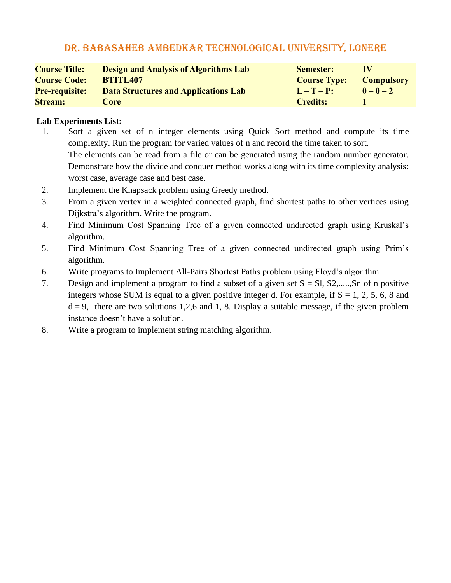| <b>Course Title:</b>  | <b>Design and Analysis of Algorithms Lab</b> | <b>Semester:</b>    | $\bf{IV}$         |
|-----------------------|----------------------------------------------|---------------------|-------------------|
| <b>Course Code:</b>   | <b>BTITL407</b>                              | <b>Course Type:</b> | <b>Compulsory</b> |
| <b>Pre-requisite:</b> | Data Structures and Applications Lab         | $L-T-P$ :           | $0 - 0 - 2$       |
| <b>Stream:</b>        | Core                                         | <b>Credits:</b>     |                   |

## **Lab Experiments List:**

1. Sort a given set of n integer elements using Quick Sort method and compute its time complexity. Run the program for varied values of n and record the time taken to sort. The elements can be read from a file or can be generated using the random number generator. Demonstrate how the divide and conquer method works along with its time complexity analysis:

worst case, average case and best case.

- 2. Implement the Knapsack problem using Greedy method.
- 3. From a given vertex in a weighted connected graph, find shortest paths to other vertices using Dijkstra's algorithm. Write the program.
- 4. Find Minimum Cost Spanning Tree of a given connected undirected graph using Kruskal's algorithm.
- 5. Find Minimum Cost Spanning Tree of a given connected undirected graph using Prim's algorithm.
- 6. Write programs to Implement All-Pairs Shortest Paths problem using Floyd's algorithm
- 7. Design and implement a program to find a subset of a given set  $S = SI$ ,  $S2$ ,.....,Sn of n positive integers whose SUM is equal to a given positive integer d. For example, if  $S = 1, 2, 5, 6, 8$  and  $d = 9$ , there are two solutions 1,2,6 and 1, 8. Display a suitable message, if the given problem instance doesn't have a solution.
- 8. Write a program to implement string matching algorithm.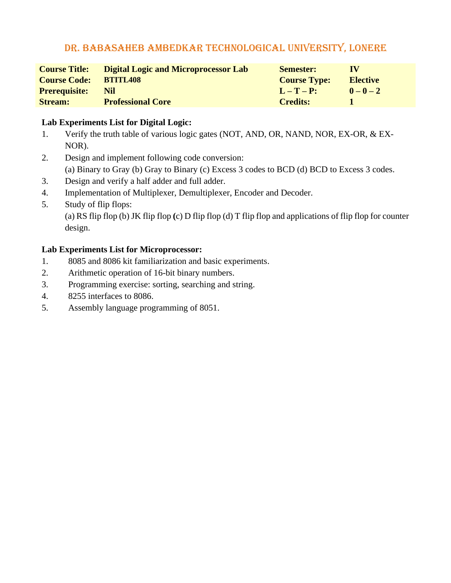| <b>Course Title:</b> | <b>Digital Logic and Microprocessor Lab</b> | <b>Semester:</b>    | $\bf{IV}$       |
|----------------------|---------------------------------------------|---------------------|-----------------|
| <b>Course Code:</b>  | <b>BTITL408</b>                             | <b>Course Type:</b> | <b>Elective</b> |
| <b>Prerequisite:</b> | Nil                                         | $L-T-P$ :           | $0 - 0 - 2$     |
| <b>Stream:</b>       | <b>Professional Core</b>                    | <b>Credits:</b>     |                 |

## **Lab Experiments List for Digital Logic:**

- 1. Verify the truth table of various logic gates (NOT, AND, OR, NAND, NOR, EX-OR, & EX- NOR).
- 2. Design and implement following code conversion:

(a) Binary to Gray (b) Gray to Binary (c) Excess 3 codes to BCD (d) BCD to Excess 3 codes.

- 3. Design and verify a half adder and full adder.
- 4. Implementation of Multiplexer, Demultiplexer, Encoder and Decoder.
- 5. Study of flip flops:

(a) RS flip flop (b) JK flip flop **(**c) D flip flop (d) T flip flop and applications of flip flop for counter design.

## **Lab Experiments List for Microprocessor:**

- 1. 8085 and 8086 kit familiarization and basic experiments.
- 2. Arithmetic operation of 16-bit binary numbers.
- 3. Programming exercise: sorting, searching and string.
- 4. 8255 interfaces to 8086.
- 5. Assembly language programming of 8051.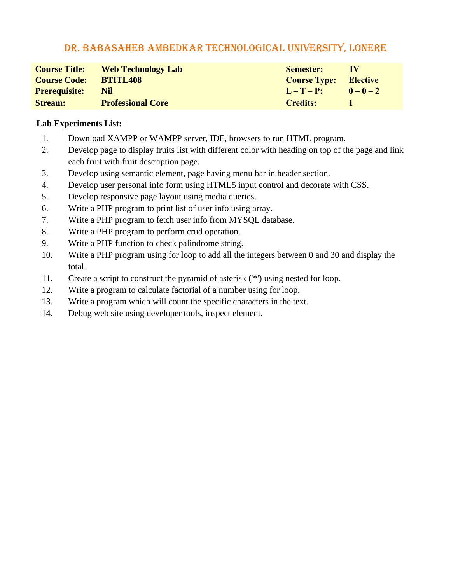| <b>Course Title:</b> | <b>Web Technology Lab</b> | <b>Semester:</b>             | - I V |
|----------------------|---------------------------|------------------------------|-------|
| <b>Course Code:</b>  | <b>BTITL408</b>           | <b>Course Type:</b> Elective |       |
| <b>Prerequisite:</b> | Nil.                      | $L-T-P:$ $0-0-2$             |       |
| <b>Stream:</b>       | <b>Professional Core</b>  | Credits:                     |       |

## **Lab Experiments List:**

- 1. Download XAMPP or WAMPP server, IDE, browsers to run HTML program.
- 2. Develop page to display fruits list with different color with heading on top of the page and link each fruit with fruit description page.
- 3. Develop using semantic element, page having menu bar in header section.
- 4. Develop user personal info form using HTML5 input control and decorate with CSS.
- 5. Develop responsive page layout using media queries.
- 6. Write a PHP program to print list of user info using array.
- 7. Write a PHP program to fetch user info from MYSQL database.
- 8. Write a PHP program to perform crud operation.
- 9. Write a PHP function to check palindrome string.
- 10. Write a PHP program using for loop to add all the integers between 0 and 30 and display the total.
- 11. Create a script to construct the pyramid of asterisk ('\*') using nested for loop.
- 12. Write a program to calculate factorial of a number using for loop.
- 13. Write a program which will count the specific characters in the text.
- 14. Debug web site using developer tools, inspect element.